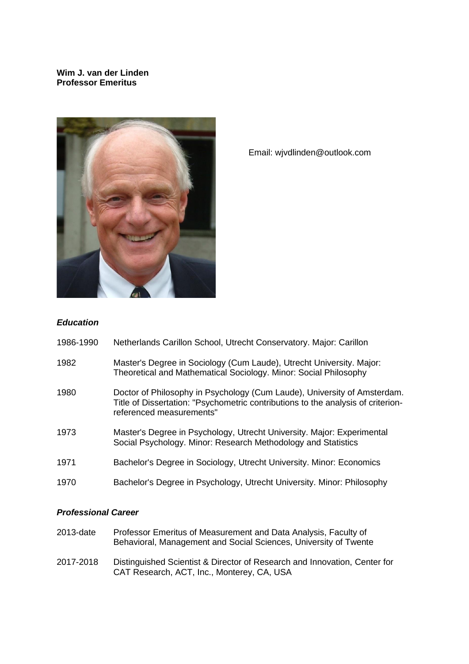## **Wim J. van der Linden Professor Emeritus**



Email: wjvdlinden@outlook.com

## *Education*

| 1986-1990 |  |  | Netherlands Carillon School, Utrecht Conservatory. Major: Carillon |  |  |
|-----------|--|--|--------------------------------------------------------------------|--|--|
|-----------|--|--|--------------------------------------------------------------------|--|--|

- 1982 Master's Degree in Sociology (Cum Laude), Utrecht University. Major: Theoretical and Mathematical Sociology. Minor: Social Philosophy
- 1980 Doctor of Philosophy in Psychology (Cum Laude), University of Amsterdam. Title of Dissertation: "Psychometric contributions to the analysis of criterionreferenced measurements"
- 1973 Master's Degree in Psychology, Utrecht University. Major: Experimental Social Psychology. Minor: Research Methodology and Statistics
- 1971 Bachelor's Degree in Sociology, Utrecht University. Minor: Economics
- 1970 Bachelor's Degree in Psychology, Utrecht University. Minor: Philosophy

### *Professional Career*

- 2013-date Professor Emeritus of Measurement and Data Analysis, Faculty of Behavioral, Management and Social Sciences, University of Twente
- 2017-2018 Distinguished Scientist & Director of Research and Innovation, Center for CAT Research, ACT, Inc., Monterey, CA, USA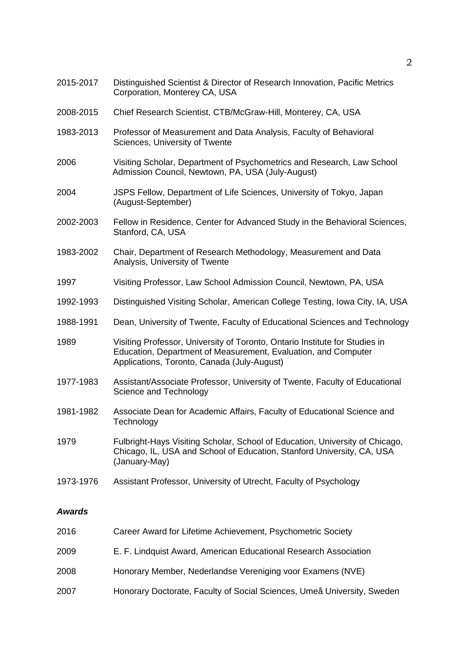| 2015-2017     | Distinguished Scientist & Director of Research Innovation, Pacific Metrics<br>Corporation, Monterey CA, USA                                                                                  |
|---------------|----------------------------------------------------------------------------------------------------------------------------------------------------------------------------------------------|
| 2008-2015     | Chief Research Scientist, CTB/McGraw-Hill, Monterey, CA, USA                                                                                                                                 |
| 1983-2013     | Professor of Measurement and Data Analysis, Faculty of Behavioral<br>Sciences, University of Twente                                                                                          |
| 2006          | Visiting Scholar, Department of Psychometrics and Research, Law School<br>Admission Council, Newtown, PA, USA (July-August)                                                                  |
| 2004          | JSPS Fellow, Department of Life Sciences, University of Tokyo, Japan<br>(August-September)                                                                                                   |
| 2002-2003     | Fellow in Residence, Center for Advanced Study in the Behavioral Sciences,<br>Stanford, CA, USA                                                                                              |
| 1983-2002     | Chair, Department of Research Methodology, Measurement and Data<br>Analysis, University of Twente                                                                                            |
| 1997          | Visiting Professor, Law School Admission Council, Newtown, PA, USA                                                                                                                           |
| 1992-1993     | Distinguished Visiting Scholar, American College Testing, Iowa City, IA, USA                                                                                                                 |
| 1988-1991     | Dean, University of Twente, Faculty of Educational Sciences and Technology                                                                                                                   |
| 1989          | Visiting Professor, University of Toronto, Ontario Institute for Studies in<br>Education, Department of Measurement, Evaluation, and Computer<br>Applications, Toronto, Canada (July-August) |
| 1977-1983     | Assistant/Associate Professor, University of Twente, Faculty of Educational<br>Science and Technology                                                                                        |
| 1981-1982     | Associate Dean for Academic Affairs, Faculty of Educational Science and<br>Technology                                                                                                        |
| 1979          | Fulbright-Hays Visiting Scholar, School of Education, University of Chicago,<br>Chicago, IL, USA and School of Education, Stanford University, CA, USA<br>(January-May)                      |
| 1973-1976     | Assistant Professor, University of Utrecht, Faculty of Psychology                                                                                                                            |
| <b>Awards</b> |                                                                                                                                                                                              |
| 2016          | Career Award for Lifetime Achievement, Psychometric Society                                                                                                                                  |
| 2009          | E. F. Lindquist Award, American Educational Research Association                                                                                                                             |
| 2008          | Honorary Member, Nederlandse Vereniging voor Examens (NVE)                                                                                                                                   |
| 2007          | Honorary Doctorate, Faculty of Social Sciences, Umeå University, Sweden                                                                                                                      |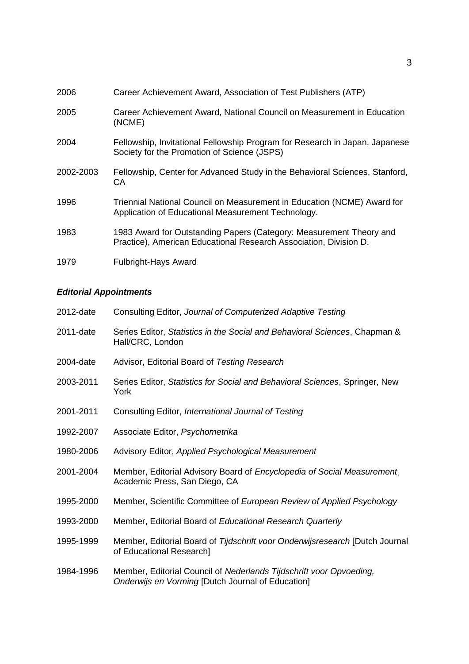| 2006      | Career Achievement Award, Association of Test Publishers (ATP)                                                                           |
|-----------|------------------------------------------------------------------------------------------------------------------------------------------|
| 2005      | Career Achievement Award, National Council on Measurement in Education<br>(NCME)                                                         |
| 2004      | Fellowship, Invitational Fellowship Program for Research in Japan, Japanese<br>Society for the Promotion of Science (JSPS)               |
| 2002-2003 | Fellowship, Center for Advanced Study in the Behavioral Sciences, Stanford,<br>CA.                                                       |
| 1996      | Triennial National Council on Measurement in Education (NCME) Award for<br>Application of Educational Measurement Technology.            |
| 1983      | 1983 Award for Outstanding Papers (Category: Measurement Theory and<br>Practice), American Educational Research Association, Division D. |
| 1979      | <b>Fulbright-Hays Award</b>                                                                                                              |

# *Editorial Appointments*

| 2012-date | Consulting Editor, Journal of Computerized Adaptive Testing                                                              |
|-----------|--------------------------------------------------------------------------------------------------------------------------|
| 2011-date | Series Editor, Statistics in the Social and Behavioral Sciences, Chapman &<br>Hall/CRC, London                           |
| 2004-date | Advisor, Editorial Board of Testing Research                                                                             |
| 2003-2011 | Series Editor, Statistics for Social and Behavioral Sciences, Springer, New<br>York                                      |
| 2001-2011 | Consulting Editor, International Journal of Testing                                                                      |
| 1992-2007 | Associate Editor, Psychometrika                                                                                          |
| 1980-2006 | Advisory Editor, Applied Psychological Measurement                                                                       |
| 2001-2004 | Member, Editorial Advisory Board of Encyclopedia of Social Measurement,<br>Academic Press, San Diego, CA                 |
| 1995-2000 | Member, Scientific Committee of European Review of Applied Psychology                                                    |
| 1993-2000 | Member, Editorial Board of Educational Research Quarterly                                                                |
| 1995-1999 | Member, Editorial Board of Tijdschrift voor Onderwijsresearch [Dutch Journal<br>of Educational Research]                 |
| 1984-1996 | Member, Editorial Council of Nederlands Tijdschrift voor Opvoeding,<br>Onderwijs en Vorming [Dutch Journal of Education] |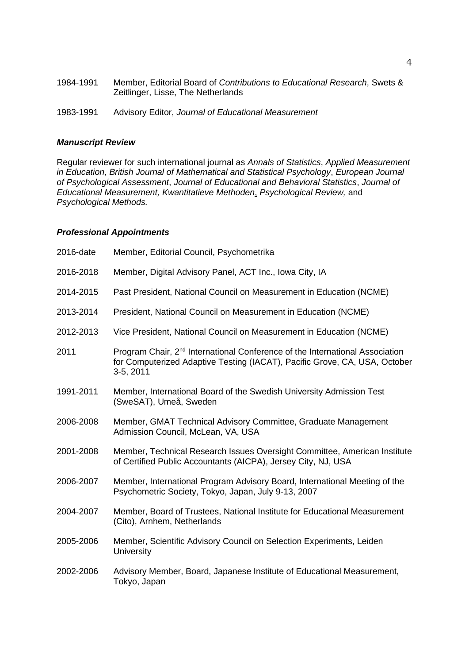| 1984-1991 | Member, Editorial Board of Contributions to Educational Research, Swets &<br>Zeitlinger, Lisse, The Netherlands |
|-----------|-----------------------------------------------------------------------------------------------------------------|
| 1983-1991 | Advisory Editor, Journal of Educational Measurement                                                             |

#### *Manuscript Review*

Regular reviewer for such international journal as *Annals of Statistics*, *Applied Measurement in Education*, *British Journal of Mathematical and Statistical Psychology*, *European Journal of Psychological Assessment*, *Journal of Educational and Behavioral Statistics*, *Journal of Educational Measurement, Kwantitatieve Methoden*, *Psychological Review,* and *Psychological Methods.*

### *Professional Appointments*

| Member, Editorial Council, Psychometrika                                                                                                                                            |
|-------------------------------------------------------------------------------------------------------------------------------------------------------------------------------------|
| Member, Digital Advisory Panel, ACT Inc., Iowa City, IA                                                                                                                             |
| Past President, National Council on Measurement in Education (NCME)                                                                                                                 |
| President, National Council on Measurement in Education (NCME)                                                                                                                      |
| Vice President, National Council on Measurement in Education (NCME)                                                                                                                 |
| Program Chair, 2 <sup>nd</sup> International Conference of the International Association<br>for Computerized Adaptive Testing (IACAT), Pacific Grove, CA, USA, October<br>3-5, 2011 |
| Member, International Board of the Swedish University Admission Test<br>(SweSAT), Umeå, Sweden                                                                                      |
| Member, GMAT Technical Advisory Committee, Graduate Management<br>Admission Council, McLean, VA, USA                                                                                |
| Member, Technical Research Issues Oversight Committee, American Institute<br>of Certified Public Accountants (AICPA), Jersey City, NJ, USA                                          |
| Member, International Program Advisory Board, International Meeting of the<br>Psychometric Society, Tokyo, Japan, July 9-13, 2007                                                   |
| Member, Board of Trustees, National Institute for Educational Measurement<br>(Cito), Arnhem, Netherlands                                                                            |
| Member, Scientific Advisory Council on Selection Experiments, Leiden<br><b>University</b>                                                                                           |
| Advisory Member, Board, Japanese Institute of Educational Measurement,<br>Tokyo, Japan                                                                                              |
|                                                                                                                                                                                     |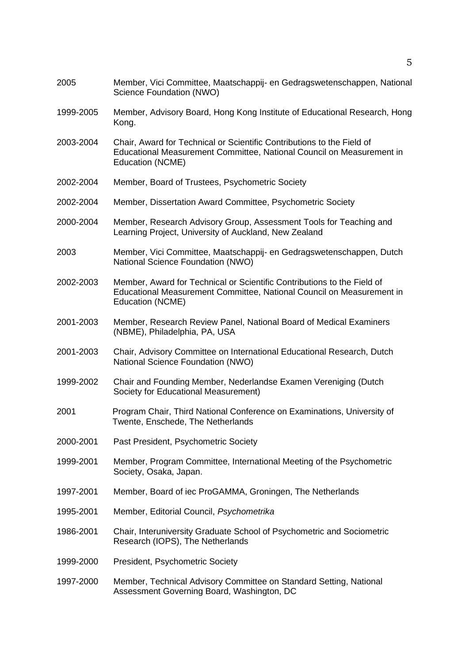| 2005      | Member, Vici Committee, Maatschappij- en Gedragswetenschappen, National<br>Science Foundation (NWO)                                                                  |
|-----------|----------------------------------------------------------------------------------------------------------------------------------------------------------------------|
| 1999-2005 | Member, Advisory Board, Hong Kong Institute of Educational Research, Hong<br>Kong.                                                                                   |
| 2003-2004 | Chair, Award for Technical or Scientific Contributions to the Field of<br>Educational Measurement Committee, National Council on Measurement in<br>Education (NCME)  |
| 2002-2004 | Member, Board of Trustees, Psychometric Society                                                                                                                      |
| 2002-2004 | Member, Dissertation Award Committee, Psychometric Society                                                                                                           |
| 2000-2004 | Member, Research Advisory Group, Assessment Tools for Teaching and<br>Learning Project, University of Auckland, New Zealand                                          |
| 2003      | Member, Vici Committee, Maatschappij- en Gedragswetenschappen, Dutch<br>National Science Foundation (NWO)                                                            |
| 2002-2003 | Member, Award for Technical or Scientific Contributions to the Field of<br>Educational Measurement Committee, National Council on Measurement in<br>Education (NCME) |
| 2001-2003 | Member, Research Review Panel, National Board of Medical Examiners<br>(NBME), Philadelphia, PA, USA                                                                  |
| 2001-2003 | Chair, Advisory Committee on International Educational Research, Dutch<br>National Science Foundation (NWO)                                                          |
| 1999-2002 | Chair and Founding Member, Nederlandse Examen Vereniging (Dutch<br>Society for Educational Measurement)                                                              |
| 2001      | Program Chair, Third National Conference on Examinations, University of<br>Twente, Enschede, The Netherlands                                                         |
| 2000-2001 | Past President, Psychometric Society                                                                                                                                 |
| 1999-2001 | Member, Program Committee, International Meeting of the Psychometric<br>Society, Osaka, Japan.                                                                       |
| 1997-2001 | Member, Board of iec ProGAMMA, Groningen, The Netherlands                                                                                                            |
| 1995-2001 | Member, Editorial Council, Psychometrika                                                                                                                             |
| 1986-2001 | Chair, Interuniversity Graduate School of Psychometric and Sociometric<br>Research (IOPS), The Netherlands                                                           |
| 1999-2000 | President, Psychometric Society                                                                                                                                      |
| 1997-2000 | Member, Technical Advisory Committee on Standard Setting, National<br>Assessment Governing Board, Washington, DC                                                     |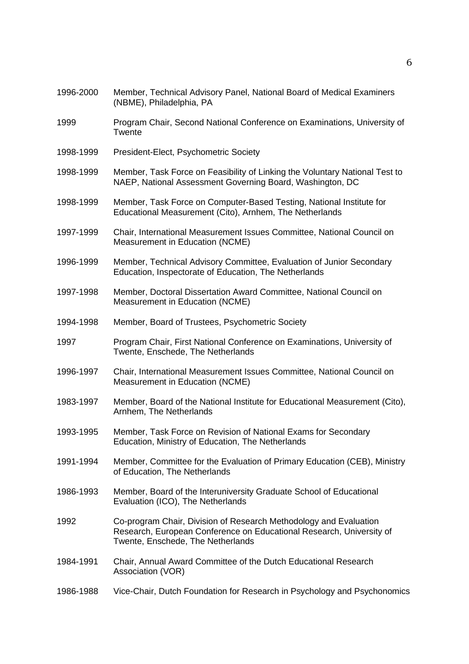| 1996-2000 | Member, Technical Advisory Panel, National Board of Medical Examiners<br>(NBME), Philadelphia, PA                                                                              |
|-----------|--------------------------------------------------------------------------------------------------------------------------------------------------------------------------------|
| 1999      | Program Chair, Second National Conference on Examinations, University of<br>Twente                                                                                             |
| 1998-1999 | President-Elect, Psychometric Society                                                                                                                                          |
| 1998-1999 | Member, Task Force on Feasibility of Linking the Voluntary National Test to<br>NAEP, National Assessment Governing Board, Washington, DC                                       |
| 1998-1999 | Member, Task Force on Computer-Based Testing, National Institute for<br>Educational Measurement (Cito), Arnhem, The Netherlands                                                |
| 1997-1999 | Chair, International Measurement Issues Committee, National Council on<br>Measurement in Education (NCME)                                                                      |
| 1996-1999 | Member, Technical Advisory Committee, Evaluation of Junior Secondary<br>Education, Inspectorate of Education, The Netherlands                                                  |
| 1997-1998 | Member, Doctoral Dissertation Award Committee, National Council on<br>Measurement in Education (NCME)                                                                          |
| 1994-1998 | Member, Board of Trustees, Psychometric Society                                                                                                                                |
| 1997      | Program Chair, First National Conference on Examinations, University of<br>Twente, Enschede, The Netherlands                                                                   |
| 1996-1997 | Chair, International Measurement Issues Committee, National Council on<br>Measurement in Education (NCME)                                                                      |
| 1983-1997 | Member, Board of the National Institute for Educational Measurement (Cito),<br>Arnhem, The Netherlands                                                                         |
| 1993-1995 | Member, Task Force on Revision of National Exams for Secondary<br>Education, Ministry of Education, The Netherlands                                                            |
| 1991-1994 | Member, Committee for the Evaluation of Primary Education (CEB), Ministry<br>of Education, The Netherlands                                                                     |
| 1986-1993 | Member, Board of the Interuniversity Graduate School of Educational<br>Evaluation (ICO), The Netherlands                                                                       |
| 1992      | Co-program Chair, Division of Research Methodology and Evaluation<br>Research, European Conference on Educational Research, University of<br>Twente, Enschede, The Netherlands |
| 1984-1991 | Chair, Annual Award Committee of the Dutch Educational Research<br>Association (VOR)                                                                                           |
| 1986-1988 | Vice-Chair, Dutch Foundation for Research in Psychology and Psychonomics                                                                                                       |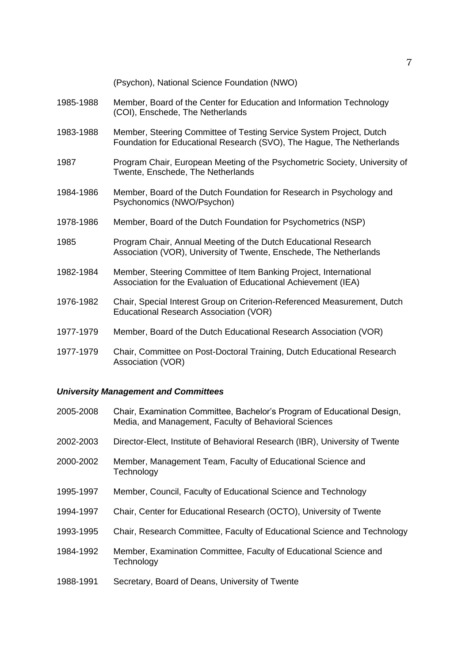|           | (Psychon), National Science Foundation (NWO)                                                                                                 |
|-----------|----------------------------------------------------------------------------------------------------------------------------------------------|
| 1985-1988 | Member, Board of the Center for Education and Information Technology<br>(COI), Enschede, The Netherlands                                     |
| 1983-1988 | Member, Steering Committee of Testing Service System Project, Dutch<br>Foundation for Educational Research (SVO), The Hague, The Netherlands |
| 1987      | Program Chair, European Meeting of the Psychometric Society, University of<br>Twente, Enschede, The Netherlands                              |
| 1984-1986 | Member, Board of the Dutch Foundation for Research in Psychology and<br>Psychonomics (NWO/Psychon)                                           |
| 1978-1986 | Member, Board of the Dutch Foundation for Psychometrics (NSP)                                                                                |
| 1985      | Program Chair, Annual Meeting of the Dutch Educational Research<br>Association (VOR), University of Twente, Enschede, The Netherlands        |
| 1982-1984 | Member, Steering Committee of Item Banking Project, International<br>Association for the Evaluation of Educational Achievement (IEA)         |
| 1976-1982 | Chair, Special Interest Group on Criterion-Referenced Measurement, Dutch<br>Educational Research Association (VOR)                           |
| 1977-1979 | Member, Board of the Dutch Educational Research Association (VOR)                                                                            |
| 1977-1979 | Chair, Committee on Post-Doctoral Training, Dutch Educational Research<br>Association (VOR)                                                  |

## *University Management and Committees*

| 2005-2008 | Chair, Examination Committee, Bachelor's Program of Educational Design,<br>Media, and Management, Faculty of Behavioral Sciences |
|-----------|----------------------------------------------------------------------------------------------------------------------------------|
| 2002-2003 | Director-Elect, Institute of Behavioral Research (IBR), University of Twente                                                     |
| 2000-2002 | Member, Management Team, Faculty of Educational Science and<br>Technology                                                        |
| 1995-1997 | Member, Council, Faculty of Educational Science and Technology                                                                   |
| 1994-1997 | Chair, Center for Educational Research (OCTO), University of Twente                                                              |
| 1993-1995 | Chair, Research Committee, Faculty of Educational Science and Technology                                                         |
| 1984-1992 | Member, Examination Committee, Faculty of Educational Science and<br>Technology                                                  |
| 1988-1991 | Secretary, Board of Deans, University of Twente                                                                                  |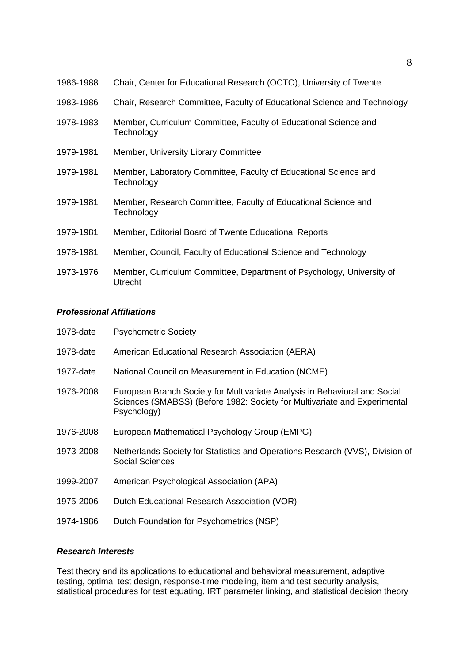| 1986-1988 | Chair, Center for Educational Research (OCTO), University of Twente                     |
|-----------|-----------------------------------------------------------------------------------------|
| 1983-1986 | Chair, Research Committee, Faculty of Educational Science and Technology                |
| 1978-1983 | Member, Curriculum Committee, Faculty of Educational Science and<br>Technology          |
| 1979-1981 | Member, University Library Committee                                                    |
| 1979-1981 | Member, Laboratory Committee, Faculty of Educational Science and<br>Technology          |
| 1979-1981 | Member, Research Committee, Faculty of Educational Science and<br>Technology            |
| 1979-1981 | Member, Editorial Board of Twente Educational Reports                                   |
| 1978-1981 | Member, Council, Faculty of Educational Science and Technology                          |
| 1973-1976 | Member, Curriculum Committee, Department of Psychology, University of<br><b>Utrecht</b> |

## *Professional Affiliations*

| 1978-date | <b>Psychometric Society</b>                                                                                                                                            |
|-----------|------------------------------------------------------------------------------------------------------------------------------------------------------------------------|
| 1978-date | American Educational Research Association (AERA)                                                                                                                       |
| 1977-date | National Council on Measurement in Education (NCME)                                                                                                                    |
| 1976-2008 | European Branch Society for Multivariate Analysis in Behavioral and Social<br>Sciences (SMABSS) (Before 1982: Society for Multivariate and Experimental<br>Psychology) |
| 1976-2008 | European Mathematical Psychology Group (EMPG)                                                                                                                          |
| 1973-2008 | Netherlands Society for Statistics and Operations Research (VVS), Division of<br>Social Sciences                                                                       |
| 1999-2007 | American Psychological Association (APA)                                                                                                                               |
| 1975-2006 | Dutch Educational Research Association (VOR)                                                                                                                           |
| 1974-1986 | Dutch Foundation for Psychometrics (NSP)                                                                                                                               |

## *Research Interests*

Test theory and its applications to educational and behavioral measurement, adaptive testing, optimal test design, response-time modeling, item and test security analysis, statistical procedures for test equating, IRT parameter linking, and statistical decision theory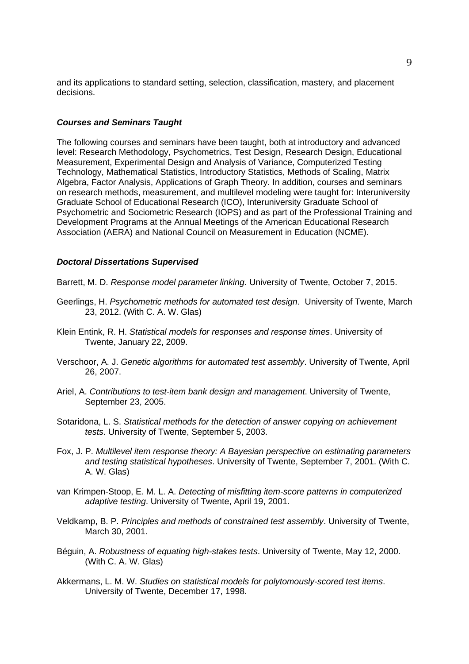and its applications to standard setting, selection, classification, mastery, and placement decisions.

#### *Courses and Seminars Taught*

The following courses and seminars have been taught, both at introductory and advanced level: Research Methodology, Psychometrics, Test Design, Research Design, Educational Measurement, Experimental Design and Analysis of Variance, Computerized Testing Technology, Mathematical Statistics, Introductory Statistics, Methods of Scaling, Matrix Algebra, Factor Analysis, Applications of Graph Theory. In addition, courses and seminars on research methods, measurement, and multilevel modeling were taught for: Interuniversity Graduate School of Educational Research (ICO), Interuniversity Graduate School of Psychometric and Sociometric Research (IOPS) and as part of the Professional Training and Development Programs at the Annual Meetings of the American Educational Research Association (AERA) and National Council on Measurement in Education (NCME).

## *Doctoral Dissertations Supervised*

Barrett, M. D. *Response model parameter linking*. University of Twente, October 7, 2015.

- Geerlings, H. *Psychometric methods for automated test design*. University of Twente, March 23, 2012. (With C. A. W. Glas)
- Klein Entink, R. H. *Statistical models for responses and response times*. University of Twente, January 22, 2009.
- Verschoor, A. J. *Genetic algorithms for automated test assembly*. University of Twente, April 26, 2007.
- Ariel, A. *Contributions to test-item bank design and management*. University of Twente, September 23, 2005.
- Sotaridona, L. S. *Statistical methods for the detection of answer copying on achievement tests*. University of Twente, September 5, 2003.
- Fox, J. P. *Multilevel item response theory: A Bayesian perspective on estimating parameters and testing statistical hypotheses*. University of Twente, September 7, 2001. (With C. A. W. Glas)
- van Krimpen-Stoop, E. M. L. A. *Detecting of misfitting item-score patterns in computerized adaptive testing*. University of Twente, April 19, 2001.
- Veldkamp, B. P. *Principles and methods of constrained test assembly*. University of Twente, March 30, 2001.
- Béguin, A. *Robustness of equating high-stakes tests*. University of Twente, May 12, 2000. (With C. A. W. Glas)
- Akkermans, L. M. W. *Studies on statistical models for polytomously-scored test items*. University of Twente, December 17, 1998.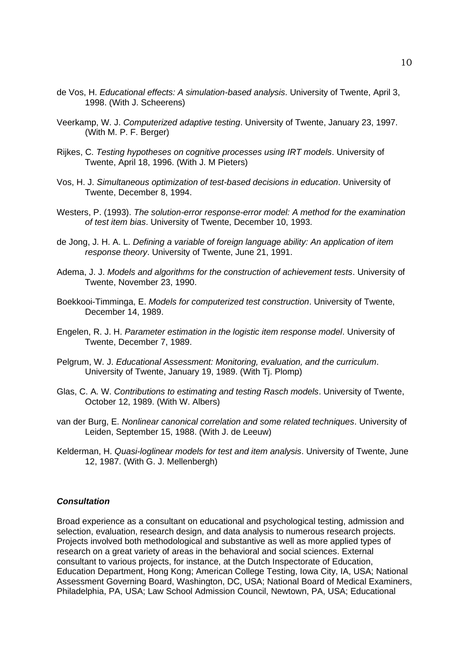- de Vos, H. *Educational effects: A simulation-based analysis*. University of Twente, April 3, 1998. (With J. Scheerens)
- Veerkamp, W. J. *Computerized adaptive testing*. University of Twente, January 23, 1997. (With M. P. F. Berger)
- Rijkes, C. *Testing hypotheses on cognitive processes using IRT models*. University of Twente, April 18, 1996. (With J. M Pieters)
- Vos, H. J. *Simultaneous optimization of test-based decisions in education*. University of Twente, December 8, 1994.
- Westers, P. (1993). *The solution-error response-error model: A method for the examination of test item bias*. University of Twente, December 10, 1993.
- de Jong, J. H. A. L. *Defining a variable of foreign language ability: An application of item response theory*. University of Twente, June 21, 1991.
- Adema, J. J. *Models and algorithms for the construction of achievement tests*. University of Twente, November 23, 1990.
- Boekkooi-Timminga, E. *Models for computerized test construction*. University of Twente, December 14, 1989.
- Engelen, R. J. H. *Parameter estimation in the logistic item response model*. University of Twente, December 7, 1989.
- Pelgrum, W. J. *Educational Assessment: Monitoring, evaluation, and the curriculum*. University of Twente, January 19, 1989. (With Tj. Plomp)
- Glas, C. A. W. *Contributions to estimating and testing Rasch models*. University of Twente, October 12, 1989. (With W. Albers)
- van der Burg, E. *Nonlinear canonical correlation and some related techniques*. University of Leiden, September 15, 1988. (With J. de Leeuw)
- Kelderman, H. *Quasi-loglinear models for test and item analysis*. University of Twente, June 12, 1987. (With G. J. Mellenbergh)

#### *Consultation*

Broad experience as a consultant on educational and psychological testing, admission and selection, evaluation, research design, and data analysis to numerous research projects. Projects involved both methodological and substantive as well as more applied types of research on a great variety of areas in the behavioral and social sciences. External consultant to various projects, for instance, at the Dutch Inspectorate of Education, Education Department, Hong Kong; American College Testing, Iowa City, IA, USA; National Assessment Governing Board, Washington, DC, USA; National Board of Medical Examiners, Philadelphia, PA, USA; Law School Admission Council, Newtown, PA, USA; Educational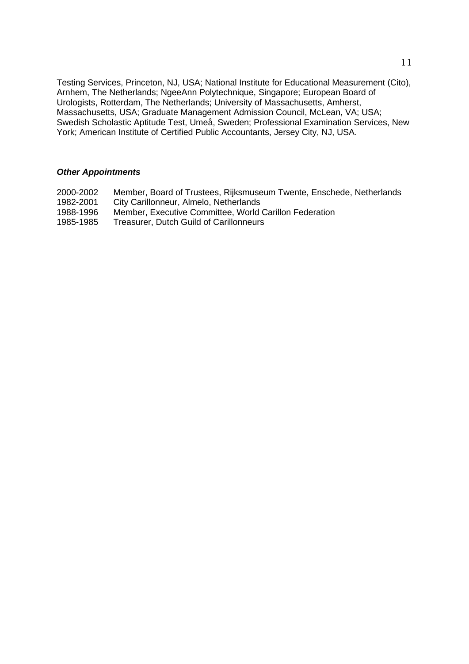Testing Services, Princeton, NJ, USA; National Institute for Educational Measurement (Cito), Arnhem, The Netherlands; NgeeAnn Polytechnique, Singapore; European Board of Urologists, Rotterdam, The Netherlands; University of Massachusetts, Amherst, Massachusetts, USA; Graduate Management Admission Council, McLean, VA; USA; Swedish Scholastic Aptitude Test, Umeå, Sweden; Professional Examination Services, New York; American Institute of Certified Public Accountants, Jersey City, NJ, USA.

#### *Other Appointments*

- 2000-2002 Member, Board of Trustees, Rijksmuseum Twente, Enschede, Netherlands
- 1982-2001 City Carillonneur, Almelo, Netherlands
- 1988-1996 Member, Executive Committee, World Carillon Federation
- 1985-1985 Treasurer, Dutch Guild of Carillonneurs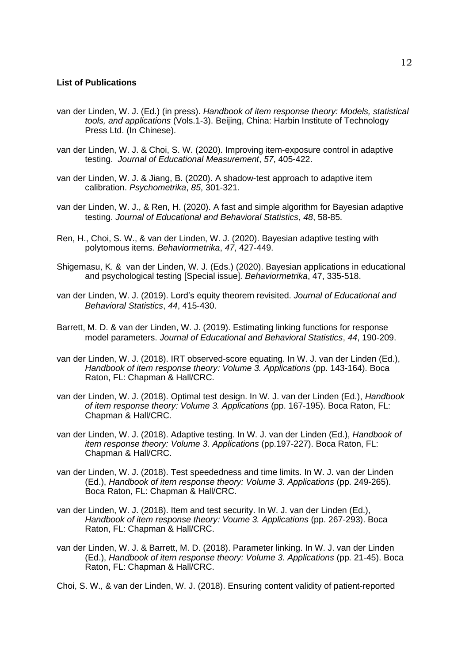## **List of Publications**

- van der Linden, W. J. (Ed.) (in press). *Handbook of item response theory: Models, statistical tools, and applications* (Vols.1-3). Beijing, China: Harbin Institute of Technology Press Ltd. (In Chinese).
- van der Linden, W. J. & Choi, S. W. (2020). Improving item-exposure control in adaptive testing. *Journal of Educational Measurement*, *57*, 405-422.
- van der Linden, W. J. & Jiang, B. (2020). A shadow-test approach to adaptive item calibration. *Psychometrika*, *85*, 301-321.
- van der Linden, W. J., & Ren, H. (2020). A fast and simple algorithm for Bayesian adaptive testing. *Journal of Educational and Behavioral Statistics*, *48*, 58-85.
- Ren, H., Choi, S. W., & van der Linden, W. J. (2020). Bayesian adaptive testing with polytomous items. *Behaviormetrika*, *47*, 427-449.
- Shigemasu, K. & van der Linden, W. J. (Eds.) (2020). Bayesian applications in educational and psychological testing [Special issue]. *Behaviormetrika*, 47, 335-518.
- van der Linden, W. J. (2019). Lord's equity theorem revisited. *Journal of Educational and Behavioral Statistics*, *44*, 415-430.
- Barrett, M. D. & van der Linden, W. J. (2019). Estimating linking functions for response model parameters. *Journal of Educational and Behavioral Statistics*, *44*, 190-209.
- van der Linden, W. J. (2018). IRT observed-score equating. In W. J. van der Linden (Ed.), *Handbook of item response theory: Volume 3. Applications* (pp. 143-164). Boca Raton, FL: Chapman & Hall/CRC.
- van der Linden, W. J. (2018). Optimal test design. In W. J. van der Linden (Ed.), *Handbook of item response theory: Volume 3. Applications* (pp. 167-195). Boca Raton, FL: Chapman & Hall/CRC.
- van der Linden, W. J. (2018). Adaptive testing. In W. J. van der Linden (Ed.), *Handbook of item response theory: Volume 3. Applications* (pp.197-227). Boca Raton, FL: Chapman & Hall/CRC.
- van der Linden, W. J. (2018). Test speededness and time limits. In W. J. van der Linden (Ed.), *Handbook of item response theory: Volume 3. Applications* (pp. 249-265). Boca Raton, FL: Chapman & Hall/CRC.
- van der Linden, W. J. (2018). Item and test security. In W. J. van der Linden (Ed.), *Handbook of item response theory: Voume 3. Applications* (pp. 267-293). Boca Raton, FL: Chapman & Hall/CRC.
- van der Linden, W. J. & Barrett, M. D. (2018). Parameter linking. In W. J. van der Linden (Ed.), *Handbook of item response theory: Volume 3. Applications* (pp. 21-45). Boca Raton, FL: Chapman & Hall/CRC.
- Choi, S. W., & van der Linden, W. J. (2018). Ensuring content validity of patient-reported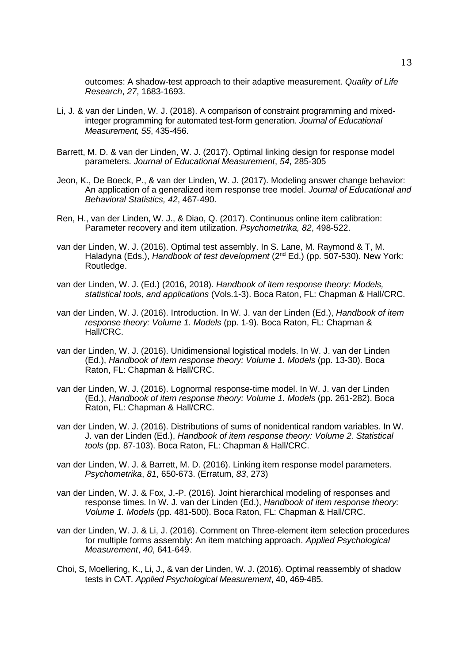outcomes: A shadow-test approach to their adaptive measurement. *Quality of Life Research*, *27*, 1683-1693.

- Li, J. & van der Linden, W. J. (2018). A comparison of constraint programming and mixedinteger programming for automated test-form generation. *Journal of Educational Measurement, 55*, 435-456.
- Barrett, M. D. & van der Linden, W. J. (2017). Optimal linking design for response model parameters. *Journal of Educational Measurement*, *54*, 285-305
- Jeon, K., De Boeck, P., & van der Linden, W. J. (2017). Modeling answer change behavior: An application of a generalized item response tree model. *Journal of Educational and Behavioral Statistics, 42*, 467-490.
- Ren, H., van der Linden, W. J., & Diao, Q. (2017). Continuous online item calibration: Parameter recovery and item utilization. *Psychometrika, 82*, 498-522.
- van der Linden, W. J. (2016). Optimal test assembly. In S. Lane, M. Raymond & T, M. Haladyna (Eds.), *Handbook of test development* (2nd Ed.) (pp. 507-530). New York: Routledge.
- van der Linden, W. J. (Ed.) (2016, 2018). *Handbook of item response theory: Models, statistical tools, and applications* (Vols.1-3). Boca Raton, FL: Chapman & Hall/CRC.
- van der Linden, W. J. (2016). Introduction. In W. J. van der Linden (Ed.), *Handbook of item response theory: Volume 1. Models* (pp. 1-9). Boca Raton, FL: Chapman & Hall/CRC.
- van der Linden, W. J. (2016). Unidimensional logistical models. In W. J. van der Linden (Ed.), *Handbook of item response theory: Volume 1. Models* (pp. 13-30). Boca Raton, FL: Chapman & Hall/CRC.
- van der Linden, W. J. (2016). Lognormal response-time model. In W. J. van der Linden (Ed.), *Handbook of item response theory: Volume 1. Models* (pp. 261-282). Boca Raton, FL: Chapman & Hall/CRC.
- van der Linden, W. J. (2016). Distributions of sums of nonidentical random variables. In W. J. van der Linden (Ed.), *Handbook of item response theory: Volume 2. Statistical tools* (pp. 87-103). Boca Raton, FL: Chapman & Hall/CRC.
- van der Linden, W. J. & Barrett, M. D. (2016). Linking item response model parameters. *Psychometrika*, *81*, 650-673. (Erratum, *83*, 273)
- van der Linden, W. J. & Fox, J.-P. (2016). Joint hierarchical modeling of responses and response times. In W. J. van der Linden (Ed.), *Handbook of item response theory: Volume 1. Models* (pp. 481-500). Boca Raton, FL: Chapman & Hall/CRC.
- van der Linden, W. J. & Li, J. (2016). Comment on Three-element item selection procedures for multiple forms assembly: An item matching approach. *Applied Psychological Measurement*, *40*, 641-649.
- Choi, S, Moellering, K., Li, J., & van der Linden, W. J. (2016). Optimal reassembly of shadow tests in CAT. *Applied Psychological Measurement*, 40, 469-485.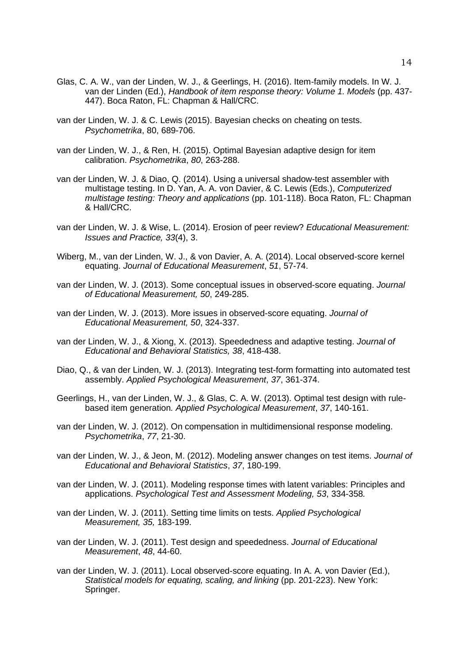- Glas, C. A. W., van der Linden, W. J., & Geerlings, H. (2016). Item-family models. In W. J. van der Linden (Ed.), *Handbook of item response theory: Volume 1. Models* (pp. 437- 447). Boca Raton, FL: Chapman & Hall/CRC.
- van der Linden, W. J. & C. Lewis (2015). Bayesian checks on cheating on tests. *Psychometrika*, 80, 689-706.
- van der Linden, W. J., & Ren, H. (2015). Optimal Bayesian adaptive design for item calibration. *Psychometrika*, *80*, 263-288.
- van der Linden, W. J. & Diao, Q. (2014). Using a universal shadow-test assembler with multistage testing. In D. Yan, A. A. von Davier, & C. Lewis (Eds.), *Computerized multistage testing: Theory and applications* (pp. 101-118). Boca Raton, FL: Chapman & Hall/CRC.
- van der Linden, W. J. & Wise, L. (2014). Erosion of peer review? *Educational Measurement: Issues and Practice, 33*(4), 3.
- Wiberg, M., van der Linden, W. J., & von Davier, A. A. (2014). Local observed-score kernel equating. *Journal of Educational Measurement*, *51*, 57-74.
- van der Linden, W. J. (2013). Some conceptual issues in observed-score equating. *Journal of Educational Measurement, 50*, 249-285.
- van der Linden, W. J. (2013). More issues in observed-score equating. *Journal of Educational Measurement, 50*, 324-337.
- van der Linden, W. J., & Xiong, X. (2013). Speededness and adaptive testing. *Journal of Educational and Behavioral Statistics, 38*, 418-438.
- Diao, Q., & van der Linden, W. J. (2013). Integrating test-form formatting into automated test assembly. *Applied Psychological Measurement*, *37*, 361-374.
- Geerlings, H., van der Linden, W. J., & Glas, C. A. W. (2013). Optimal test design with rulebased item generation*. Applied Psychological Measurement*, *37*, 140-161.
- van der Linden, W. J. (2012). On compensation in multidimensional response modeling. *Psychometrika*, *77*, 21-30.
- van der Linden, W. J., & Jeon, M. (2012). Modeling answer changes on test items. *Journal of Educational and Behavioral Statistics*, *37*, 180-199.
- van der Linden, W. J. (2011). Modeling response times with latent variables: Principles and applications. *Psychological Test and Assessment Modeling, 53*, 334-358*.*
- van der Linden, W. J. (2011). Setting time limits on tests. *Applied Psychological Measurement, 35,* 183-199.
- van der Linden, W. J. (2011). Test design and speededness. *Journal of Educational Measurement*, *48*, 44-60.
- van der Linden, W. J. (2011). Local observed-score equating. In A. A. von Davier (Ed.), *Statistical models for equating, scaling, and linking* (pp. 201-223). New York: Springer.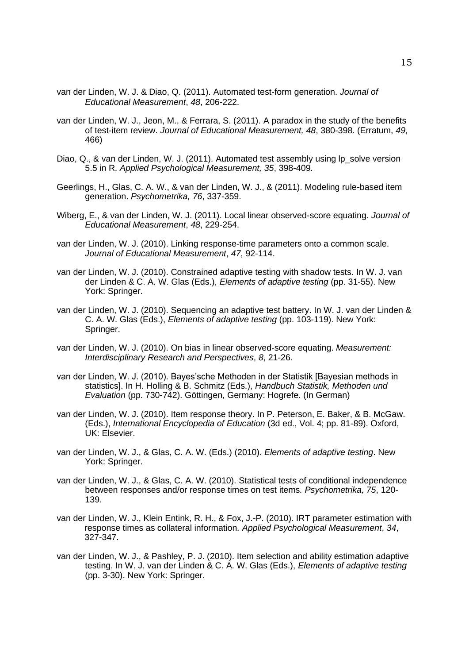- van der Linden, W. J. & Diao, Q. (2011). Automated test-form generation. *Journal of Educational Measurement*, *48*, 206-222.
- van der Linden, W. J., Jeon, M., & Ferrara, S. (2011). A paradox in the study of the benefits of test-item review. *Journal of Educational Measurement, 48*, 380-398. (Erratum, *49*, 466)
- Diao, Q., & van der Linden, W. J. (2011). Automated test assembly using Ip solve version 5.5 in R. *Applied Psychological Measurement, 35*, 398-409.
- Geerlings, H., Glas, C. A. W., & van der Linden, W. J., & (2011). Modeling rule-based item generation. *Psychometrika, 76*, 337-359.
- Wiberg, E., & van der Linden, W. J. (2011). Local linear observed-score equating. *Journal of Educational Measurement*, *48*, 229-254.
- van der Linden, W. J. (2010). Linking response-time parameters onto a common scale. *Journal of Educational Measurement*, *47*, 92-114.
- van der Linden, W. J. (2010). Constrained adaptive testing with shadow tests. In W. J. van der Linden & C. A. W. Glas (Eds.), *Elements of adaptive testing* (pp. 31-55). New York: Springer.
- van der Linden, W. J. (2010). Sequencing an adaptive test battery. In W. J. van der Linden & C. A. W. Glas (Eds.), *Elements of adaptive testing* (pp. 103-119). New York: Springer.
- van der Linden, W. J. (2010). On bias in linear observed-score equating. *Measurement: Interdisciplinary Research and Perspectives*, *8*, 21-26.
- van der Linden, W. J. (2010). Bayes'sche Methoden in der Statistik [Bayesian methods in statistics]. In H. Holling & B. Schmitz (Eds.), *Handbuch Statistik, Methoden und Evaluation* (pp. 730-742). Göttingen, Germany: Hogrefe. (In German)
- van der Linden, W. J. (2010). Item response theory. In P. Peterson, E. Baker, & B. McGaw. (Eds.), *International Encyclopedia of Education* (3d ed., Vol. 4; pp. 81-89). Oxford, UK: Elsevier.
- van der Linden, W. J., & Glas, C. A. W. (Eds.) (2010). *Elements of adaptive testing*. New York: Springer.
- van der Linden, W. J., & Glas, C. A. W. (2010). Statistical tests of conditional independence between responses and/or response times on test items*. Psychometrika, 75*, 120- 139*.*
- van der Linden, W. J., Klein Entink, R. H., & Fox, J.-P. (2010). IRT parameter estimation with response times as collateral information*. Applied Psychological Measurement*, *34*, 327-347.
- van der Linden, W. J., & Pashley, P. J. (2010). Item selection and ability estimation adaptive testing. In W. J. van der Linden & C. A. W. Glas (Eds.), *Elements of adaptive testing* (pp. 3-30). New York: Springer.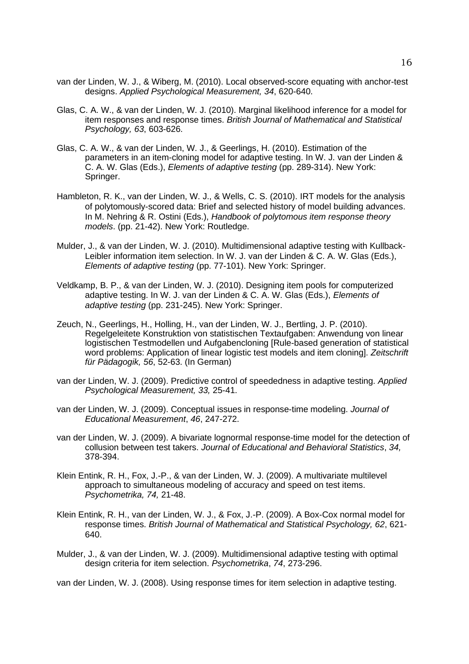- van der Linden, W. J., & Wiberg, M. (2010). Local observed-score equating with anchor-test designs. *Applied Psychological Measurement, 34*, 620-640.
- Glas, C. A. W., & van der Linden, W. J. (2010). Marginal likelihood inference for a model for item responses and response times. *British Journal of Mathematical and Statistical Psychology, 63*, 603-626.
- Glas, C. A. W., & van der Linden, W. J., & Geerlings, H. (2010). Estimation of the parameters in an item-cloning model for adaptive testing. In W. J. van der Linden & C. A. W. Glas (Eds.), *Elements of adaptive testing* (pp. 289-314). New York: Springer.
- Hambleton, R. K., van der Linden, W. J., & Wells, C. S. (2010). IRT models for the analysis of polytomously-scored data: Brief and selected history of model building advances. In M. Nehring & R. Ostini (Eds.), *Handbook of polytomous item response theory models*. (pp. 21-42). New York: Routledge.
- Mulder, J., & van der Linden, W. J. (2010). Multidimensional adaptive testing with Kullback-Leibler information item selection. In W. J. van der Linden & C. A. W. Glas (Eds.), *Elements of adaptive testing* (pp. 77-101). New York: Springer.
- Veldkamp, B. P., & van der Linden, W. J. (2010). Designing item pools for computerized adaptive testing. In W. J. van der Linden & C. A. W. Glas (Eds.), *Elements of adaptive testing* (pp. 231-245). New York: Springer.
- Zeuch, N., Geerlings, H., Holling, H., van der Linden, W. J., Bertling, J. P. (2010). Regelgeleitete Konstruktion von statistischen Textaufgaben: Anwendung von linear logistischen Testmodellen und Aufgabencloning [Rule-based generation of statistical word problems: Application of linear logistic test models and item cloning]. *Zeitschrift für Pädagogik, 56*, 52-63. (In German)
- van der Linden, W. J. (2009). Predictive control of speededness in adaptive testing. *Applied Psychological Measurement, 33,* 25-41.
- van der Linden, W. J. (2009). Conceptual issues in response-time modeling. *Journal of Educational Measurement*, *46*, 247-272.
- van der Linden, W. J. (2009). A bivariate lognormal response-time model for the detection of collusion between test takers. *Journal of Educational and Behavioral Statistics*, *34,* 378-394.
- Klein Entink, R. H., Fox, J.-P., & van der Linden, W. J. (2009). A multivariate multilevel approach to simultaneous modeling of accuracy and speed on test items. *Psychometrika, 74,* 21-48.
- Klein Entink, R. H., van der Linden, W. J., & Fox, J.-P. (2009). A Box-Cox normal model for response times. *British Journal of Mathematical and Statistical Psychology, 62*, 621- 640.
- Mulder, J., & van der Linden, W. J. (2009). Multidimensional adaptive testing with optimal design criteria for item selection. *Psychometrika*, *74*, 273-296.

van der Linden, W. J. (2008). Using response times for item selection in adaptive testing.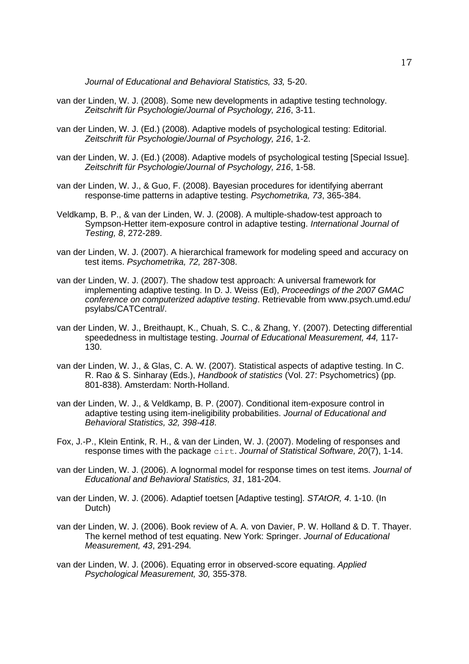*Journal of Educational and Behavioral Statistics, 33,* 5-20.

- van der Linden, W. J. (2008). Some new developments in adaptive testing technology. *Zeitschrift für Psychologie/Journal of Psychology, 216*, 3-11.
- van der Linden, W. J. (Ed.) (2008). Adaptive models of psychological testing: Editorial. *Zeitschrift für Psychologie/Journal of Psychology, 216*, 1-2.
- van der Linden, W. J. (Ed.) (2008). Adaptive models of psychological testing [Special Issue]. *Zeitschrift für Psychologie/Journal of Psychology, 216*, 1-58.
- van der Linden, W. J., & Guo, F. (2008). Bayesian procedures for identifying aberrant response-time patterns in adaptive testing. *Psychometrika, 73*, 365-384.
- Veldkamp, B. P., & van der Linden, W. J. (2008). A multiple-shadow-test approach to Sympson-Hetter item-exposure control in adaptive testing. *International Journal of Testing, 8*, 272-289.
- van der Linden, W. J. (2007). A hierarchical framework for modeling speed and accuracy on test items. *Psychometrika, 72,* 287-308.
- van der Linden, W. J. (2007). The shadow test approach: A universal framework for implementing adaptive testing. In D. J. Weiss (Ed), *Proceedings of the 2007 GMAC conference on computerized adaptive testing*. Retrievable from www.psych.umd.edu/ psylabs/CATCentral/.
- van der Linden, W. J., Breithaupt, K., Chuah, S. C., & Zhang, Y. (2007). Detecting differential speededness in multistage testing. *Journal of Educational Measurement, 44,* 117- 130.
- van der Linden, W. J., & Glas, C. A. W. (2007). Statistical aspects of adaptive testing. In C. R. Rao & S. Sinharay (Eds.), *Handbook of statistics* (Vol. 27: Psychometrics) (pp. 801-838). Amsterdam: North-Holland.
- van der Linden, W. J., & Veldkamp, B. P. (2007). Conditional item-exposure control in adaptive testing using item-ineligibility probabilities. *Journal of Educational and Behavioral Statistics, 32, 398-418*.
- Fox, J.-P., Klein Entink, R. H., & van der Linden, W. J. (2007). Modeling of responses and response times with the package cirt. *Journal of Statistical Software, 20*(7), 1-14.
- van der Linden, W. J. (2006). A lognormal model for response times on test items. *Journal of Educational and Behavioral Statistics, 31*, 181-204.
- van der Linden, W. J. (2006). Adaptief toetsen [Adaptive testing]. *STAtOR, 4*. 1-10. (In Dutch)
- van der Linden, W. J. (2006). Book review of A. A. von Davier, P. W. Holland & D. T. Thayer. The kernel method of test equating. New York: Springer. *Journal of Educational Measurement, 43*, 291-294*.*
- van der Linden, W. J. (2006). Equating error in observed-score equating. *Applied Psychological Measurement, 30,* 355-378.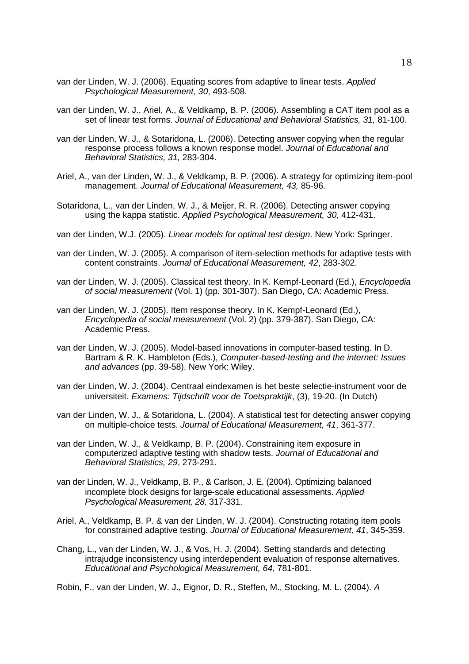- van der Linden, W. J. (2006). Equating scores from adaptive to linear tests. *Applied Psychological Measurement, 30*, 493-508.
- van der Linden, W. J., Ariel, A., & Veldkamp, B. P. (2006). Assembling a CAT item pool as a set of linear test forms. *Journal of Educational and Behavioral Statistics, 31,* 81-100.
- van der Linden, W. J., & Sotaridona, L. (2006). Detecting answer copying when the regular response process follows a known response model. *Journal of Educational and Behavioral Statistics, 31,* 283-304.
- Ariel, A., van der Linden, W. J., & Veldkamp, B. P. (2006). A strategy for optimizing item-pool management. *Journal of Educational Measurement, 43,* 85-96.
- Sotaridona, L., van der Linden, W. J., & Meijer, R. R. (2006). Detecting answer copying using the kappa statistic. *Applied Psychological Measurement, 30*, 412-431.
- van der Linden, W.J. (2005). *Linear models for optimal test design*. New York: Springer.
- van der Linden, W. J. (2005). A comparison of item-selection methods for adaptive tests with content constraints. *Journal of Educational Measurement, 42*, 283*-*302.
- van der Linden, W. J. (2005). Classical test theory. In K. Kempf-Leonard (Ed.), *Encyclopedia of social measurement* (Vol. 1) (pp. 301-307). San Diego, CA: Academic Press.
- van der Linden, W. J. (2005). Item response theory. In K. Kempf-Leonard (Ed.), *Encyclopedia of social measurement* (Vol. 2) (pp. 379-387). San Diego, CA: Academic Press.
- van der Linden, W. J. (2005). Model-based innovations in computer-based testing. In D. Bartram & R. K. Hambleton (Eds.), *Computer-based-testing and the internet: Issues and advances* (pp. 39-58). New York: Wiley.
- van der Linden, W. J. (2004). Centraal eindexamen is het beste selectie-instrument voor de universiteit. *Examens: Tijdschrift voor de Toetspraktijk*, (3), 19-20. (In Dutch)
- van der Linden, W. J., & Sotaridona, L. (2004). A statistical test for detecting answer copying on multiple-choice tests. *Journal of Educational Measurement, 41*, 361-377.
- van der Linden, W. J., & Veldkamp, B. P. (2004). Constraining item exposure in computerized adaptive testing with shadow tests. *Journal of Educational and Behavioral Statistics, 29*, 273-291.
- van der Linden, W. J., Veldkamp, B. P., & Carlson, J. E. (2004). Optimizing balanced incomplete block designs for large-scale educational assessments. *Applied Psychological Measurement, 28,* 317*-*331.
- Ariel, A., Veldkamp, B. P. & van der Linden, W. J. (2004). Constructing rotating item pools for constrained adaptive testing. *Journal of Educational Measurement, 41*, 345-359.
- Chang, L., van der Linden, W. J., & Vos, H. J. (2004). Setting standards and detecting intrajudge inconsistency using interdependent evaluation of response alternatives. *Educational and Psychological Measurement, 64*, 781-801.
- Robin, F., van der Linden, W. J., Eignor, D. R., Steffen, M., Stocking, M. L. (2004). *A*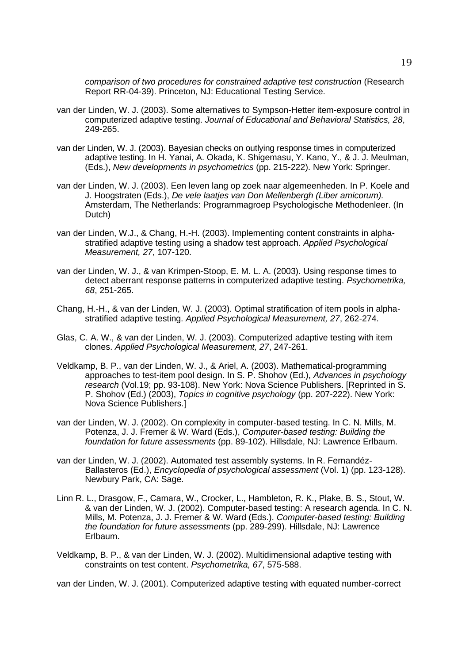*comparison of two procedures for constrained adaptive test construction* (Research Report RR-04-39). Princeton, NJ: Educational Testing Service.

- van der Linden, W. J. (2003). Some alternatives to Sympson-Hetter item-exposure control in computerized adaptive testing. *Journal of Educational and Behavioral Statistics, 28*, 249-265.
- van der Linden, W. J. (2003). Bayesian checks on outlying response times in computerized adaptive testing. In H. Yanai, A. Okada, K. Shigemasu, Y. Kano, Y., & J. J. Meulman, (Eds.), *New developments in psychometrics* (pp. 215-222). New York: Springer.
- van der Linden, W. J. (2003). Een leven lang op zoek naar algemeenheden. In P. Koele and J. Hoogstraten (Eds.), *De vele laatjes van Don Mellenbergh (Liber amicorum).* Amsterdam, The Netherlands: Programmagroep Psychologische Methodenleer. (In Dutch)
- van der Linden, W.J., & Chang, H.-H. (2003). Implementing content constraints in alphastratified adaptive testing using a shadow test approach. *Applied Psychological Measurement, 27*, 107-120.
- van der Linden, W. J., & van Krimpen-Stoop, E. M. L. A. (2003). Using response times to detect aberrant response patterns in computerized adaptive testing. *Psychometrika, 68*, 251-265.
- Chang, H.-H., & van der Linden, W. J. (2003). Optimal stratification of item pools in alphastratified adaptive testing. *Applied Psychological Measurement, 27*, 262-274.
- Glas, C. A. W., & van der Linden, W. J. (2003). Computerized adaptive testing with item clones. *Applied Psychological Measurement, 27*, 247-261.
- Veldkamp, B. P., van der Linden, W. J., & Ariel, A. (2003). Mathematical-programming approaches to test-item pool design. In S. P. Shohov (Ed.), *Advances in psychology research* (Vol.19; pp. 93-108). New York: Nova Science Publishers. [Reprinted in S. P. Shohov (Ed.) (2003), *Topics in cognitive psychology* (pp. 207-222). New York: Nova Science Publishers.]
- van der Linden, W. J. (2002). On complexity in computer-based testing. In C. N. Mills, M. Potenza, J. J. Fremer & W. Ward (Eds.), *Computer-based testing: Building the foundation for future assessments* (pp. 89-102). Hillsdale, NJ: Lawrence Erlbaum.
- van der Linden, W. J. (2002). Automated test assembly systems. In R. Fernandéz-Ballasteros (Ed.), *Encyclopedia of psychological assessment* (Vol. 1) (pp. 123-128). Newbury Park, CA: Sage.
- Linn R. L., Drasgow, F., Camara, W., Crocker, L., Hambleton, R. K., Plake, B. S., Stout, W. & van der Linden, W. J. (2002). Computer-based testing: A research agenda. In C. N. Mills, M. Potenza, J. J. Fremer & W. Ward (Eds.). *Computer-based testing: Building the foundation for future assessments* (pp. 289-299). Hillsdale, NJ: Lawrence Erlbaum.
- Veldkamp, B. P., & van der Linden, W. J. (2002). Multidimensional adaptive testing with constraints on test content. *Psychometrika, 67*, 575-588.

van der Linden, W. J. (2001). Computerized adaptive testing with equated number-correct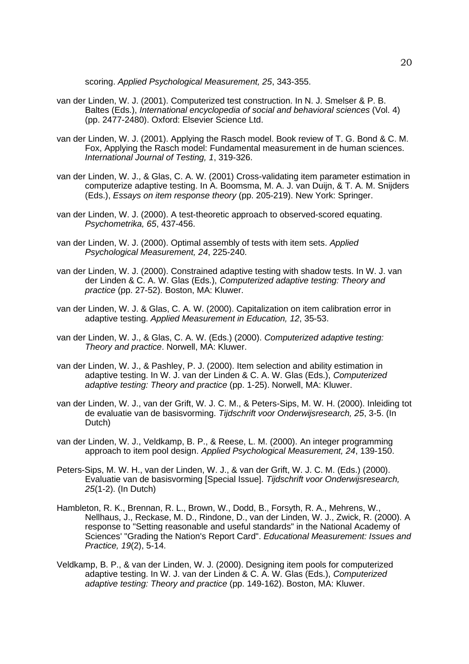scoring. *Applied Psychological Measurement, 25*, 343-355.

- van der Linden, W. J. (2001). Computerized test construction. In N. J. Smelser & P. B. Baltes (Eds.), *International encyclopedia of social and behavioral sciences* (Vol. 4) (pp. 2477-2480). Oxford: Elsevier Science Ltd.
- van der Linden, W. J. (2001). Applying the Rasch model. Book review of T. G. Bond & C. M. Fox, Applying the Rasch model: Fundamental measurement in de human sciences. *International Journal of Testing, 1*, 319-326.
- van der Linden, W. J., & Glas, C. A. W. (2001) Cross-validating item parameter estimation in computerize adaptive testing. In A. Boomsma, M. A. J. van Duijn, & T. A. M. Snijders (Eds.), *Essays on item response theory* (pp. 205-219). New York: Springer.
- van der Linden, W. J. (2000). A test-theoretic approach to observed-scored equating. *Psychometrika, 65*, 437-456.
- van der Linden, W. J. (2000). Optimal assembly of tests with item sets. *Applied Psychological Measurement, 24*, 225-240.
- van der Linden, W. J. (2000). Constrained adaptive testing with shadow tests. In W. J. van der Linden & C. A. W. Glas (Eds.), *Computerized adaptive testing: Theory and practice* (pp. 27-52). Boston, MA: Kluwer.
- van der Linden, W. J. & Glas, C. A. W. (2000). Capitalization on item calibration error in adaptive testing. *Applied Measurement in Education, 12*, 35-53.
- van der Linden, W. J., & Glas, C. A. W. (Eds.) (2000). *Computerized adaptive testing: Theory and practice*. Norwell, MA: Kluwer.
- van der Linden, W. J., & Pashley, P. J. (2000). Item selection and ability estimation in adaptive testing. In W. J. van der Linden & C. A. W. Glas (Eds.), *Computerized adaptive testing: Theory and practice* (pp. 1-25). Norwell, MA: Kluwer.
- van der Linden, W. J., van der Grift, W. J. C. M., & Peters-Sips, M. W. H. (2000). Inleiding tot de evaluatie van de basisvorming. *Tijdschrift voor Onderwijsresearch, 25*, 3-5. (In Dutch)
- van der Linden, W. J., Veldkamp, B. P., & Reese, L. M. (2000). An integer programming approach to item pool design. *Applied Psychological Measurement, 24*, 139-150.
- Peters-Sips, M. W. H., van der Linden, W. J., & van der Grift, W. J. C. M. (Eds.) (2000). Evaluatie van de basisvorming [Special Issue]. *Tijdschrift voor Onderwijsresearch, 25*(1-2). (In Dutch)
- Hambleton, R. K., Brennan, R. L., Brown, W., Dodd, B., Forsyth, R. A., Mehrens, W., Nellhaus, J., Reckase, M. D., Rindone, D., van der Linden, W. J., Zwick, R. (2000). A response to "Setting reasonable and useful standards" in the National Academy of Sciences' "Grading the Nation's Report Card". *Educational Measurement: Issues and Practice, 19*(2), 5-14.
- Veldkamp, B. P., & van der Linden, W. J. (2000). Designing item pools for computerized adaptive testing. In W. J. van der Linden & C. A. W. Glas (Eds.), *Computerized adaptive testing: Theory and practice* (pp. 149-162). Boston, MA: Kluwer.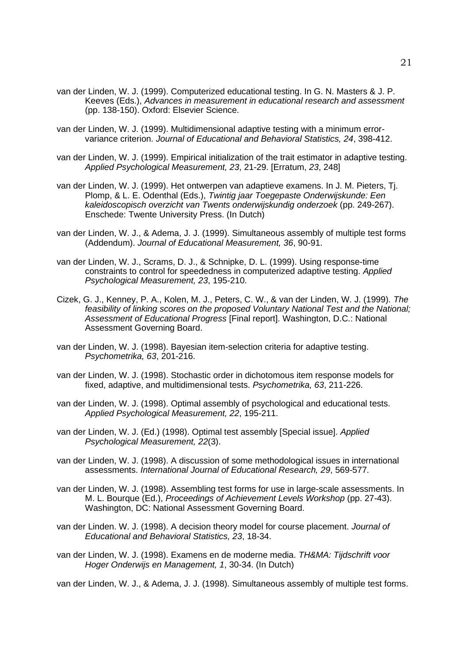- van der Linden, W. J. (1999). Computerized educational testing. In G. N. Masters & J. P. Keeves (Eds.), *Advances in measurement in educational research and assessment* (pp. 138-150). Oxford: Elsevier Science.
- van der Linden, W. J. (1999). Multidimensional adaptive testing with a minimum errorvariance criterion. *Journal of Educational and Behavioral Statistics, 24*, 398-412.
- van der Linden, W. J. (1999). Empirical initialization of the trait estimator in adaptive testing. *Applied Psychological Measurement, 23*, 21*-*29. [Erratum, *23*, 248]
- van der Linden, W. J. (1999). Het ontwerpen van adaptieve examens. In J. M. Pieters, Tj. Plomp, & L. E. Odenthal (Eds.), *Twintig jaar Toegepaste Onderwijskunde: Een kaleidoscopisch overzicht van Twents onderwijskundig onderzoek* (pp. 249*-*267). Enschede: Twente University Press. (In Dutch)
- van der Linden, W. J., & Adema, J. J. (1999). Simultaneous assembly of multiple test forms (Addendum). *Journal of Educational Measurement, 36*, 90-91.
- van der Linden, W. J., Scrams, D. J., & Schnipke, D. L. (1999). Using response-time constraints to control for speededness in computerized adaptive testing. *Applied Psychological Measurement, 23*, 195-210.
- Cizek, G. J., Kenney, P. A., Kolen, M. J., Peters, C. W., & van der Linden, W. J. (1999). *The feasibility of linking scores on the proposed Voluntary National Test and the National; Assessment of Educational Progress* [Final report]. Washington, D.C.: National Assessment Governing Board.
- van der Linden, W. J. (1998). Bayesian item-selection criteria for adaptive testing. *Psychometrika, 63*, 201-216.
- van der Linden, W. J. (1998). Stochastic order in dichotomous item response models for fixed, adaptive, and multidimensional tests. *Psychometrika, 63*, 211*-*226.
- van der Linden, W. J. (1998). Optimal assembly of psychological and educational tests. *Applied Psychological Measurement, 22*, 195*-*211.
- van der Linden, W. J. (Ed.) (1998). Optimal test assembly [Special issue]. *Applied Psychological Measurement, 22*(3).
- van der Linden, W. J. (1998). A discussion of some methodological issues in international assessments. *International Journal of Educational Research, 29*, 569*-*577.
- van der Linden, W. J. (1998). Assembling test forms for use in large-scale assessments. In M. L. Bourque (Ed.), *Proceedings of Achievement Levels Workshop* (pp. 27*-*43). Washington, DC: National Assessment Governing Board.
- van der Linden. W. J. (1998). A decision theory model for course placement. *Journal of Educational and Behavioral Statistics, 23*, 18*-*34.
- van der Linden, W. J. (1998). Examens en de moderne media. *TH&MA: Tijdschrift voor Hoger Onderwijs en Management, 1*, 30*-*34. (In Dutch)

van der Linden, W. J., & Adema, J. J. (1998). Simultaneous assembly of multiple test forms.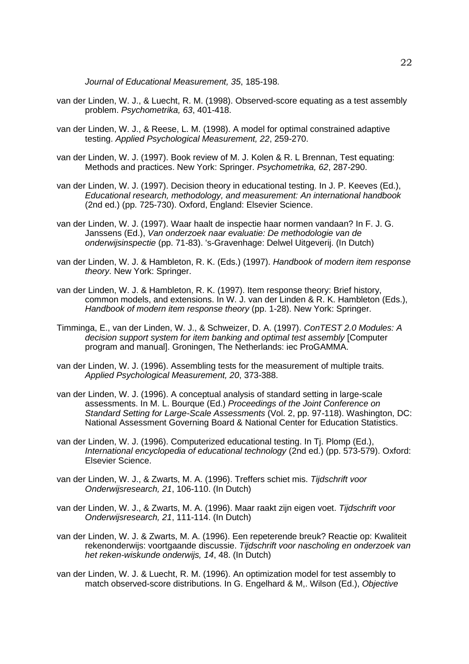*Journal of Educational Measurement, 35*, 185*-*198.

- van der Linden, W. J., & Luecht, R. M. (1998). Observed-score equating as a test assembly problem. *Psychometrika, 63*, 401*-*418.
- van der Linden, W. J., & Reese, L. M. (1998). A model for optimal constrained adaptive testing. *Applied Psychological Measurement, 22*, 259*-*270.
- van der Linden, W. J. (1997). Book review of M. J. Kolen & R. L Brennan, Test equating: Methods and practices. New York: Springer. *Psychometrika, 62*, 287*-*290.
- van der Linden, W. J. (1997). Decision theory in educational testing. In J. P. Keeves (Ed.), *Educational research, methodology, and measurement: An international handbook* (2nd ed.) (pp. 725-730). Oxford, England: Elsevier Science.
- van der Linden, W. J. (1997). Waar haalt de inspectie haar normen vandaan? In F. J. G. Janssens (Ed.), *Van onderzoek naar evaluatie: De methodologie van de onderwijsinspectie* (pp. 71*-*83). 's-Gravenhage: Delwel Uitgeverij. (In Dutch)
- van der Linden, W. J. & Hambleton, R. K. (Eds.) (1997). *Handbook of modern item response theory*. New York: Springer.
- van der Linden, W. J. & Hambleton, R. K. (1997). Item response theory: Brief history, common models, and extensions. In W. J. van der Linden & R. K. Hambleton (Eds.), *Handbook of modern item response theory* (pp. 1*-*28). New York: Springer.
- Timminga, E., van der Linden, W. J., & Schweizer, D. A. (1997). *ConTEST 2.0 Modules: A decision support system for item banking and optimal test assembly* [Computer program and manual]. Groningen, The Netherlands: iec ProGAMMA.
- van der Linden, W. J. (1996). Assembling tests for the measurement of multiple traits. *Applied Psychological Measurement, 20*, 373*-*388.
- van der Linden, W. J. (1996). A conceptual analysis of standard setting in large-scale assessments. In M. L. Bourque (Ed.) *Proceedings of the Joint Conference on Standard Setting for Large-Scale Assessments* (Vol. 2, pp. 97*-*118). Washington, DC: National Assessment Governing Board & National Center for Education Statistics.
- van der Linden, W. J. (1996). Computerized educational testing. In Tj. Plomp (Ed.), *International encyclopedia of educational technology* (2nd ed.) (pp. 573*-*579). Oxford: Elsevier Science.
- van der Linden, W. J., & Zwarts, M. A. (1996). Treffers schiet mis. *Tijdschrift voor Onderwijsresearch, 21*, 106*-*110. (In Dutch)
- van der Linden, W. J., & Zwarts, M. A. (1996). Maar raakt zijn eigen voet. *Tijdschrift voor Onderwijsresearch, 21*, 111*-*114. (In Dutch)
- van der Linden, W. J. & Zwarts, M. A. (1996). Een repeterende breuk? Reactie op: Kwaliteit rekenonderwijs: voortgaande discussie. *Tijdschrift voor nascholing en onderzoek van het reken-wiskunde onderwijs, 14*, 48. (In Dutch)
- van der Linden, W. J. & Luecht, R. M. (1996). An optimization model for test assembly to match observed-score distributions. In G. Engelhard & M,. Wilson (Ed.), *Objective*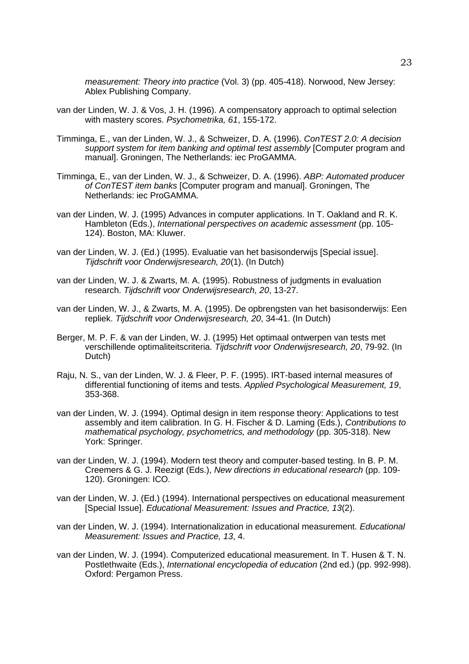*measurement: Theory into practice* (Vol. 3) (pp. 405*-*418). Norwood, New Jersey: Ablex Publishing Company.

- van der Linden, W. J. & Vos, J. H. (1996). A compensatory approach to optimal selection with mastery scores. *Psychometrika, 61*, 155*-*172.
- Timminga, E., van der Linden, W. J., & Schweizer, D. A. (1996). *ConTEST 2.0: A decision support system for item banking and optimal test assembly* [Computer program and manual]. Groningen, The Netherlands: iec ProGAMMA.
- Timminga, E., van der Linden, W. J., & Schweizer, D. A. (1996). *ABP: Automated producer of ConTEST item banks* [Computer program and manual]. Groningen, The Netherlands: iec ProGAMMA.
- van der Linden, W. J. (1995) Advances in computer applications. In T. Oakland and R. K. Hambleton (Eds.), *International perspectives on academic assessment* (pp. 105*-* 124). Boston, MA: Kluwer.
- van der Linden, W. J. (Ed.) (1995). Evaluatie van het basisonderwijs [Special issue]. *Tijdschrift voor Onderwijsresearch, 20*(1). (In Dutch)
- van der Linden, W. J. & Zwarts, M. A. (1995). Robustness of judgments in evaluation research. *Tijdschrift voor Onderwijsresearch, 20*, 13*-*27.
- van der Linden, W. J., & Zwarts, M. A. (1995). De opbrengsten van het basisonderwijs: Een repliek. *Tijdschrift voor Onderwijsresearch, 20*, 34*-*41. (In Dutch)
- Berger, M. P. F. & van der Linden, W. J. (1995) Het optimaal ontwerpen van tests met verschillende optimaliteitscriteria. *Tijdschrift voor Onderwijsresearch, 20*, 79*-*92. (In Dutch)
- Raju, N. S., van der Linden, W. J. & Fleer, P. F. (1995). IRT-based internal measures of differential functioning of items and tests. *Applied Psychological Measurement, 19*, 353*-*368.
- van der Linden, W. J. (1994). Optimal design in item response theory: Applications to test assembly and item calibration. In G. H. Fischer & D. Laming (Eds.), *Contributions to mathematical psychology, psychometrics, and methodology* (pp. 305*-*318). New York: Springer.
- van der Linden, W. J. (1994). Modern test theory and computer-based testing. In B. P. M. Creemers & G. J. Reezigt (Eds.), *New directions in educational research* (pp. 109*-* 120). Groningen: ICO.
- van der Linden, W. J. (Ed.) (1994). International perspectives on educational measurement [Special Issue]. *Educational Measurement: Issues and Practice, 13*(2).
- van der Linden, W. J. (1994). Internationalization in educational measurement. *Educational Measurement: Issues and Practice, 13*, 4.
- van der Linden, W. J. (1994). Computerized educational measurement. In T. Husen & T. N. Postlethwaite (Eds.), *International encyclopedia of education* (2nd ed.) (pp. 992*-*998). Oxford: Pergamon Press.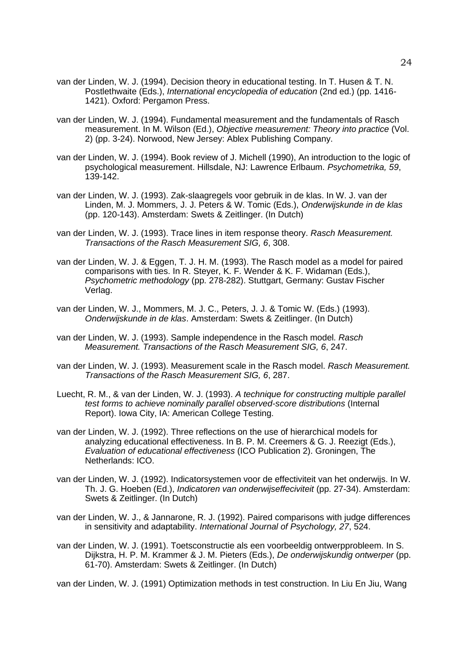- van der Linden, W. J. (1994). Decision theory in educational testing. In T. Husen & T. N. Postlethwaite (Eds.), *International encyclopedia of education* (2nd ed.) (pp. 1416*-* 1421). Oxford: Pergamon Press.
- van der Linden, W. J. (1994). Fundamental measurement and the fundamentals of Rasch measurement. In M. Wilson (Ed.), *Objective measurement: Theory into practice* (Vol. 2) (pp. 3*-*24). Norwood, New Jersey: Ablex Publishing Company.
- van der Linden, W. J. (1994). Book review of J. Michell (1990), An introduction to the logic of psychological measurement. Hillsdale, NJ: Lawrence Erlbaum. *Psychometrika, 59*, 139*-*142.
- van der Linden, W. J. (1993). Zak-slaagregels voor gebruik in de klas. In W. J. van der Linden, M. J. Mommers, J. J. Peters & W. Tomic (Eds.), *Onderwijskunde in de klas* (pp. 120*-*143). Amsterdam: Swets & Zeitlinger. (In Dutch)
- van der Linden, W. J. (1993). Trace lines in item response theory. *Rasch Measurement. Transactions of the Rasch Measurement SIG, 6*, 308.
- van der Linden, W. J. & Eggen, T. J. H. M. (1993). The Rasch model as a model for paired comparisons with ties. In R. Steyer, K. F. Wender & K. F. Widaman (Eds.), *Psychometric methodology* (pp. 278*-*282). Stuttgart, Germany: Gustav Fischer Verlag.
- van der Linden, W. J., Mommers, M. J. C., Peters, J. J. & Tomic W. (Eds.) (1993). *Onderwijskunde in de klas*. Amsterdam: Swets & Zeitlinger. (In Dutch)
- van der Linden, W. J. (1993). Sample independence in the Rasch model. *Rasch Measurement. Transactions of the Rasch Measurement SIG, 6*, 247.
- van der Linden, W. J. (1993). Measurement scale in the Rasch model. *Rasch Measurement. Transactions of the Rasch Measurement SIG, 6*, 287.
- Luecht, R. M., & van der Linden, W. J. (1993). *A technique for constructing multiple parallel test forms to achieve nominally parallel observed-score distributions* (Internal Report). Iowa City, IA: American College Testing.
- van der Linden, W. J. (1992). Three reflections on the use of hierarchical models for analyzing educational effectiveness. In B. P. M. Creemers & G. J. Reezigt (Eds.), *Evaluation of educational effectiveness* (ICO Publication 2). Groningen, The Netherlands: ICO.
- van der Linden, W. J. (1992). Indicatorsystemen voor de effectiviteit van het onderwijs. In W. Th. J. G. Hoeben (Ed.), *Indicatoren van onderwijseffeciviteit* (pp. 27*-*34). Amsterdam: Swets & Zeitlinger. (In Dutch)
- van der Linden, W. J., & Jannarone, R. J. (1992). Paired comparisons with judge differences in sensitivity and adaptability. *International Journal of Psychology, 27*, 524.
- van der Linden, W. J. (1991). Toetsconstructie als een voorbeeldig ontwerpprobleem. In S. Dijkstra, H. P. M. Krammer & J. M. Pieters (Eds.), *De onderwijskundig ontwerper* (pp. 61*-*70). Amsterdam: Swets & Zeitlinger. (In Dutch)

van der Linden, W. J. (1991) Optimization methods in test construction. In Liu En Jiu, Wang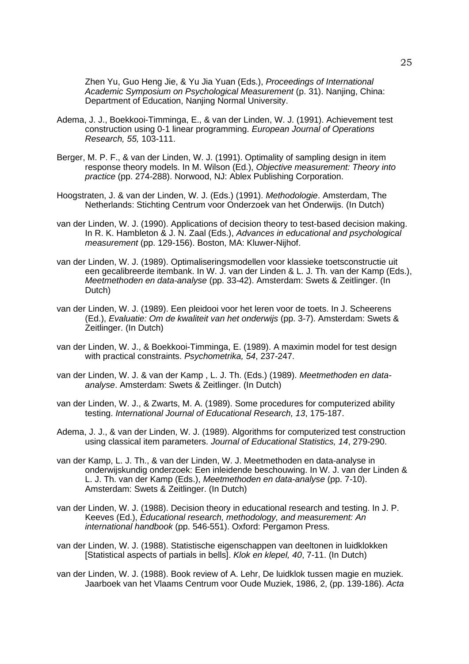Zhen Yu, Guo Heng Jie, & Yu Jia Yuan (Eds.), *Proceedings of International Academic Symposium on Psychological Measurement* (p. 31). Nanjing, China: Department of Education, Nanjing Normal University.

- Adema, J. J., Boekkooi-Timminga, E., & van der Linden, W. J. (1991). Achievement test construction using 0-1 linear programming. *European Journal of Operations Research, 55,* 103*-*111.
- Berger, M. P. F., & van der Linden, W. J. (1991). Optimality of sampling design in item response theory models. In M. Wilson (Ed.), *Objective measurement: Theory into practice* (pp. 274*-*288). Norwood, NJ: Ablex Publishing Corporation.
- Hoogstraten, J. & van der Linden, W. J. (Eds.) (1991). *Methodologie*. Amsterdam, The Netherlands: Stichting Centrum voor Onderzoek van het Onderwijs. (In Dutch)
- van der Linden, W. J. (1990). Applications of decision theory to test-based decision making. In R. K. Hambleton & J. N. Zaal (Eds.), *Advances in educational and psychological measurement* (pp. 129*-*156). Boston, MA: Kluwer-Nijhof.
- van der Linden, W. J. (1989). Optimaliseringsmodellen voor klassieke toetsconstructie uit een gecalibreerde itembank. In W. J. van der Linden & L. J. Th. van der Kamp (Eds.), *Meetmethoden en data-analyse* (pp. 33*-*42). Amsterdam: Swets & Zeitlinger. (In Dutch)
- van der Linden, W. J. (1989). Een pleidooi voor het leren voor de toets. In J. Scheerens (Ed.), *Evaluatie: Om de kwaliteit van het onderwijs* (pp. 3*-*7). Amsterdam: Swets & Zeitlinger. (In Dutch)
- van der Linden, W. J., & Boekkooi-Timminga, E. (1989). A maximin model for test design with practical constraints. *Psychometrika, 54*, 237*-*247.
- van der Linden, W. J. & van der Kamp , L. J. Th. (Eds.) (1989). *Meetmethoden en dataanalyse*. Amsterdam: Swets & Zeitlinger. (In Dutch)
- van der Linden, W. J., & Zwarts, M. A. (1989). Some procedures for computerized ability testing. *International Journal of Educational Research, 13*, 175*-*187.
- Adema, J. J., & van der Linden, W. J. (1989). Algorithms for computerized test construction using classical item parameters. *Journal of Educational Statistics, 14*, 279*-*290.
- van der Kamp, L. J. Th., & van der Linden, W. J. Meetmethoden en data-analyse in onderwijskundig onderzoek: Een inleidende beschouwing. In W. J. van der Linden & L. J. Th. van der Kamp (Eds.), *Meetmethoden en data-analyse* (pp. 7*-*10). Amsterdam: Swets & Zeitlinger. (In Dutch)
- van der Linden, W. J. (1988). Decision theory in educational research and testing. In J. P. Keeves (Ed.), *Educational research, methodology, and measurement: An international handbook* (pp. 546*-*551). Oxford: Pergamon Press.
- van der Linden, W. J. (1988). Statistische eigenschappen van deeltonen in luidklokken [Statistical aspects of partials in bells]. *Klok en klepel, 40*, 7*-*11. (In Dutch)
- van der Linden, W. J. (1988). Book review of A. Lehr, De luidklok tussen magie en muziek. Jaarboek van het Vlaams Centrum voor Oude Muziek, 1986, 2, (pp. 139*-*186). *Acta*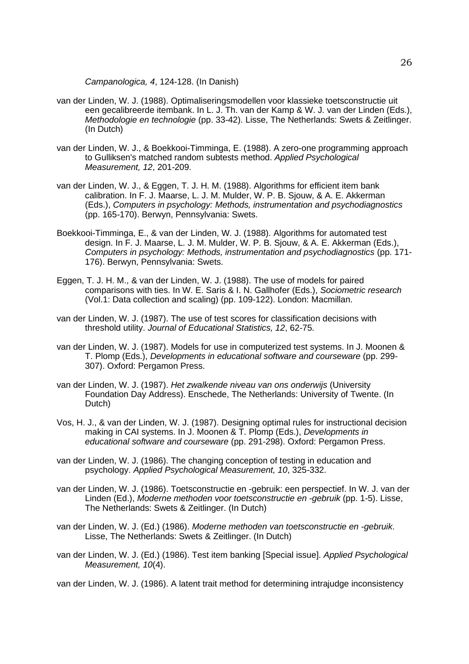*Campanologica, 4*, 124-128. (In Danish)

- van der Linden, W. J. (1988). Optimaliseringsmodellen voor klassieke toetsconstructie uit een gecalibreerde itembank. In L. J. Th. van der Kamp & W. J. van der Linden (Eds.), *Methodologie en technologie* (pp. 33*-*42). Lisse, The Netherlands: Swets & Zeitlinger. (In Dutch)
- van der Linden, W. J., & Boekkooi-Timminga, E. (1988). A zero-one programming approach to Gulliksen's matched random subtests method. *Applied Psychological Measurement, 12*, 201*-*209.
- van der Linden, W. J., & Eggen, T. J. H. M. (1988). Algorithms for efficient item bank calibration. In F. J. Maarse, L. J. M. Mulder, W. P. B. Sjouw, & A. E. Akkerman (Eds.), *Computers in psychology: Methods, instrumentation and psychodiagnostics* (pp. 165*-*170). Berwyn, Pennsylvania: Swets.
- Boekkooi-Timminga, E., & van der Linden, W. J. (1988). Algorithms for automated test design. In F. J. Maarse, L. J. M. Mulder, W. P. B. Sjouw, & A. E. Akkerman (Eds.), *Computers in psychology: Methods, instrumentation and psychodiagnostics* (pp. 171*-* 176). Berwyn, Pennsylvania: Swets.
- Eggen, T. J. H. M., & van der Linden, W. J. (1988). The use of models for paired comparisons with ties. In W. E. Saris & I. N. Gallhofer (Eds.), *Sociometric research* (Vol.1: Data collection and scaling) (pp. 109*-*122). London: Macmillan.
- van der Linden, W. J. (1987). The use of test scores for classification decisions with threshold utility. *Journal of Educational Statistics, 12*, 62*-*75.
- van der Linden, W. J. (1987). Models for use in computerized test systems. In J. Moonen & T. Plomp (Eds.), *Developments in educational software and courseware* (pp. 299*-* 307). Oxford: Pergamon Press.
- van der Linden, W. J. (1987). *Het zwalkende niveau van ons onderwijs* (University Foundation Day Address). Enschede, The Netherlands: University of Twente. (In Dutch)
- Vos, H. J., & van der Linden, W. J. (1987). Designing optimal rules for instructional decision making in CAI systems. In J. Moonen & T. Plomp (Eds.), *Developments in educational software and courseware* (pp. 291*-*298). Oxford: Pergamon Press.
- van der Linden, W. J. (1986). The changing conception of testing in education and psychology. *Applied Psychological Measurement, 10*, 325*-*332.
- van der Linden, W. J. (1986). Toetsconstructie en -gebruik: een perspectief. In W. J. van der Linden (Ed.), *Moderne methoden voor toetsconstructie en -gebruik* (pp. 1*-*5). Lisse, The Netherlands: Swets & Zeitlinger. (In Dutch)
- van der Linden, W. J. (Ed.) (1986). *Moderne methoden van toetsconstructie en -gebruik*. Lisse, The Netherlands: Swets & Zeitlinger. (In Dutch)
- van der Linden, W. J. (Ed.) (1986). Test item banking [Special issue]. *Applied Psychological Measurement, 10*(4).
- van der Linden, W. J. (1986). A latent trait method for determining intrajudge inconsistency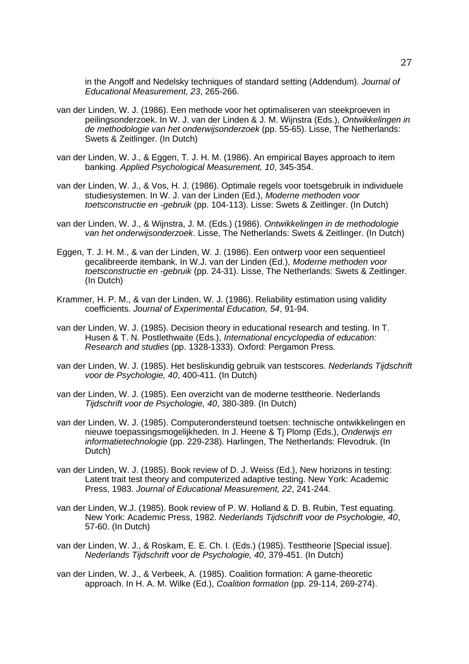in the Angoff and Nedelsky techniques of standard setting (Addendum). *Journal of Educational Measurement, 23*, 265*-*266.

- van der Linden, W. J. (1986). Een methode voor het optimaliseren van steekproeven in peilingsonderzoek. In W. J. van der Linden & J. M. Wijnstra (Eds.), *Ontwikkelingen in de methodologie van het onderwijsonderzoek* (pp. 55*-*65). Lisse, The Netherlands: Swets & Zeitlinger. (In Dutch)
- van der Linden, W. J., & Eggen, T. J. H. M. (1986). An empirical Bayes approach to item banking. *Applied Psychological Measurement, 10*, 345*-*354.
- van der Linden, W. J., & Vos, H. J. (1986). Optimale regels voor toetsgebruik in individuele studiesystemen. In W. J. van der Linden (Ed.), *Moderne methoden voor toetsconstructie en -gebruik* (pp. 104-113). Lisse: Swets & Zeitlinger. (In Dutch)
- van der Linden, W. J., & Wijnstra, J. M. (Eds.) (1986). *Ontwikkelingen in de methodologie van het onderwijsonderzoek*. Lisse, The Netherlands: Swets & Zeitlinger. (In Dutch)
- Eggen, T. J. H. M., & van der Linden, W. J. (1986). Een ontwerp voor een sequentieel gecalibreerde itembank. In W.J. van der Linden (Ed.), *Moderne methoden voor toetsconstructie en -gebruik* (pp. 24*-*31). Lisse, The Netherlands: Swets & Zeitlinger. (In Dutch)
- Krammer, H. P. M., & van der Linden, W. J. (1986). Reliability estimation using validity coefficients. *Journal of Experimental Education, 54*, 91*-*94.
- van der Linden, W. J. (1985). Decision theory in educational research and testing. In T. Husen & T. N. Postlethwaite (Eds.), *International encyclopedia of education: Research and studies* (pp. 1328*-*1333). Oxford: Pergamon Press.
- van der Linden, W. J. (1985). Het besliskundig gebruik van testscores. *Nederlands Tijdschrift voor de Psychologie, 40*, 400*-*411. (In Dutch)
- van der Linden, W. J. (1985). Een overzicht van de moderne testtheorie. Nederlands *Tijdschrift voor de Psychologie, 40*, 380*-*389. (In Dutch)
- van der Linden, W. J. (1985). Computerondersteund toetsen: technische ontwikkelingen en nieuwe toepassingsmogelijkheden. In J. Heene & Tj Plomp (Eds.), *Onderwijs en informatietechnologie* (pp. 229*-*238). Harlingen, The Netherlands: Flevodruk. (In Dutch)
- van der Linden, W. J. (1985). Book review of D. J. Weiss (Ed.), New horizons in testing: Latent trait test theory and computerized adaptive testing. New York: Academic Press, 1983. *Journal of Educational Measurement, 22*, 241*-*244.
- van der Linden, W.J. (1985). Book review of P. W. Holland & D. B. Rubin, Test equating. New York: Academic Press, 1982. *Nederlands Tijdschrift voor de Psychologie, 40*, 57*-*60. (In Dutch)
- van der Linden, W. J., & Roskam, E. E. Ch. I. (Eds.) (1985). Testtheorie [Special issue]. *Nederlands Tijdschrift voor de Psychologie, 40*, 379*-*451. (In Dutch)
- van der Linden, W. J., & Verbeek, A. (1985). Coalition formation: A game-theoretic approach. In H. A. M. Wilke (Ed.), *Coalition formation* (pp. 29*-*114, 269*-*274).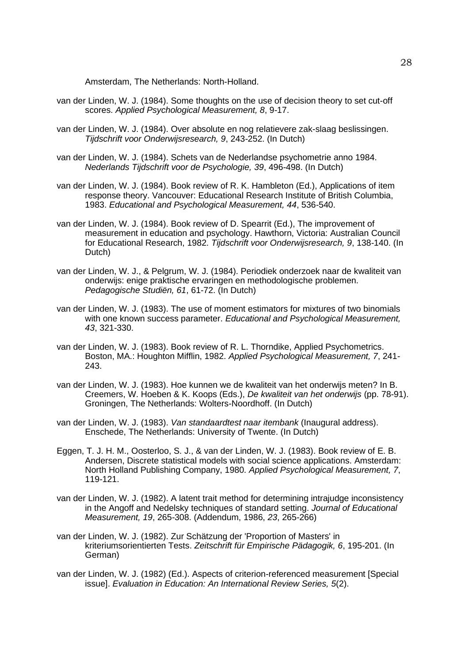Amsterdam, The Netherlands: North-Holland.

- van der Linden, W. J. (1984). Some thoughts on the use of decision theory to set cut-off scores. *Applied Psychological Measurement, 8*, 9*-*17.
- van der Linden, W. J. (1984). Over absolute en nog relatievere zak-slaag beslissingen. *Tijdschrift voor Onderwijsresearch, 9*, 243*-*252. (In Dutch)
- van der Linden, W. J. (1984). Schets van de Nederlandse psychometrie anno 1984. *Nederlands Tijdschrift voor de Psychologie, 39*, 496*-*498. (In Dutch)
- van der Linden, W. J. (1984). Book review of R. K. Hambleton (Ed.), Applications of item response theory. Vancouver: Educational Research Institute of British Columbia, 1983. *Educational and Psychological Measurement, 44*, 536*-*540.
- van der Linden, W. J. (1984). Book review of D. Spearrit (Ed.), The improvement of measurement in education and psychology. Hawthorn, Victoria: Australian Council for Educational Research, 1982. *Tijdschrift voor Onderwijsresearch, 9*, 138*-*140. (In Dutch)
- van der Linden, W. J., & Pelgrum, W. J. (1984). Periodiek onderzoek naar de kwaliteit van onderwijs: enige praktische ervaringen en methodologische problemen. *Pedagogische Studiën, 61*, 61*-*72. (In Dutch)
- van der Linden, W. J. (1983). The use of moment estimators for mixtures of two binomials with one known success parameter. *Educational and Psychological Measurement, 43*, 321*-*330.
- van der Linden, W. J. (1983). Book review of R. L. Thorndike, Applied Psychometrics. Boston, MA.: Houghton Mifflin, 1982. *Applied Psychological Measurement, 7*, 241*-* 243.
- van der Linden, W. J. (1983). Hoe kunnen we de kwaliteit van het onderwijs meten? In B. Creemers, W. Hoeben & K. Koops (Eds.), *De kwaliteit van het onderwijs* (pp. 78*-*91). Groningen, The Netherlands: Wolters-Noordhoff. (In Dutch)
- van der Linden, W. J. (1983). *Van standaardtest naar itembank* (Inaugural address). Enschede, The Netherlands: University of Twente. (In Dutch)
- Eggen, T. J. H. M., Oosterloo, S. J., & van der Linden, W. J. (1983). Book review of E. B. Andersen, Discrete statistical models with social science applications. Amsterdam: North Holland Publishing Company, 1980. *Applied Psychological Measurement, 7*, 119*-*121.
- van der Linden, W. J. (1982). A latent trait method for determining intrajudge inconsistency in the Angoff and Nedelsky techniques of standard setting. *Journal of Educational Measurement, 19*, 265*-*308. (Addendum, 1986, *23*, 265*-*266)
- van der Linden, W. J. (1982). Zur Schätzung der 'Proportion of Masters' in kriteriumsorientierten Tests. *Zeitschrift für Empirische Pädagogik, 6*, 195*-*201. (In German)
- van der Linden, W. J. (1982) (Ed.). Aspects of criterion-referenced measurement [Special issue]. *Evaluation in Education: An International Review Series, 5*(2).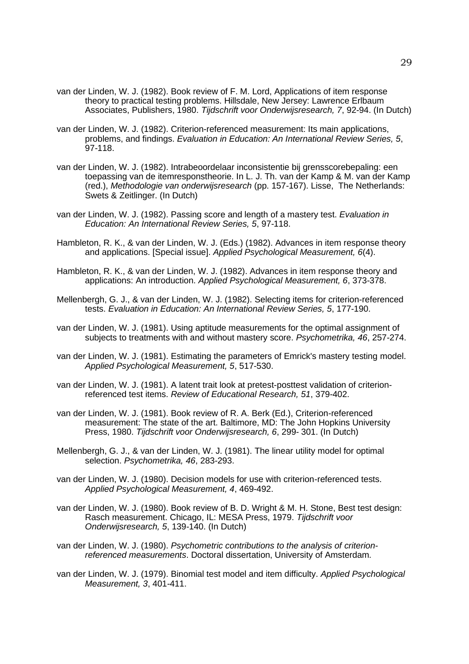- van der Linden, W. J. (1982). Book review of F. M. Lord, Applications of item response theory to practical testing problems. Hillsdale, New Jersey: Lawrence Erlbaum Associates, Publishers, 1980. *Tijdschrift voor Onderwijsresearch, 7*, 92*-*94. (In Dutch)
- van der Linden, W. J. (1982). Criterion-referenced measurement: Its main applications, problems, and findings. *Evaluation in Education: An International Review Series, 5*, 97*-*118.
- van der Linden, W. J. (1982). Intrabeoordelaar inconsistentie bij grensscorebepaling: een toepassing van de itemresponstheorie. In L. J. Th. van der Kamp & M. van der Kamp (red.), *Methodologie van onderwijsresearch* (pp. 157*-*167). Lisse, The Netherlands: Swets & Zeitlinger. (In Dutch)
- van der Linden, W. J. (1982). Passing score and length of a mastery test. *Evaluation in Education: An International Review Series, 5*, 97*-*118.
- Hambleton, R. K., & van der Linden, W. J. (Eds.) (1982). Advances in item response theory and applications. [Special issue]. *Applied Psychological Measurement, 6*(4).
- Hambleton, R. K., & van der Linden, W. J. (1982). Advances in item response theory and applications: An introduction. *Applied Psychological Measurement, 6*, 373*-*378.
- Mellenbergh, G. J., & van der Linden, W. J. (1982). Selecting items for criterion-referenced tests. *Evaluation in Education: An International Review Series, 5*, 177*-*190.
- van der Linden, W. J. (1981). Using aptitude measurements for the optimal assignment of subjects to treatments with and without mastery score. *Psychometrika, 46*, 257*-*274.
- van der Linden, W. J. (1981). Estimating the parameters of Emrick's mastery testing model. *Applied Psychological Measurement, 5*, 517*-*530.
- van der Linden, W. J. (1981). A latent trait look at pretest-posttest validation of criterionreferenced test items. *Review of Educational Research, 51*, 379*-*402.
- van der Linden, W. J. (1981). Book review of R. A. Berk (Ed.), Criterion-referenced measurement: The state of the art. Baltimore, MD: The John Hopkins University Press, 1980. *Tijdschrift voor Onderwijsresearch, 6*, 299*-* 301. (In Dutch)
- Mellenbergh, G. J., & van der Linden, W. J. (1981). The linear utility model for optimal selection. *Psychometrika, 46*, 283*-*293.
- van der Linden, W. J. (1980). Decision models for use with criterion-referenced tests. *Applied Psychological Measurement, 4*, 469*-*492.
- van der Linden, W. J. (1980). Book review of B. D. Wright & M. H. Stone, Best test design: Rasch measurement. Chicago, IL: MESA Press, 1979. *Tijdschrift voor Onderwijsresearch, 5*, 139*-*140. (In Dutch)
- van der Linden, W. J. (1980). *Psychometric contributions to the analysis of criterionreferenced measurements*. Doctoral dissertation, University of Amsterdam.
- van der Linden, W. J. (1979). Binomial test model and item difficulty. *Applied Psychological Measurement, 3*, 401*-*411.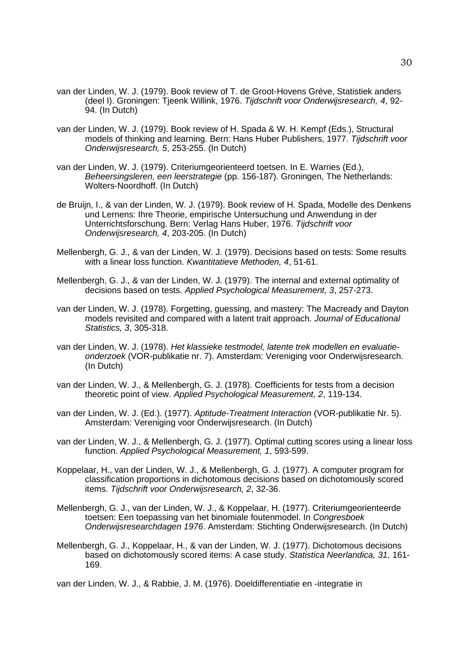- van der Linden, W. J. (1979). Book review of T. de Groot-Hovens Gréve, Statistiek anders (deel I). Groningen: Tjeenk Willink, 1976. *Tijdschrift voor Onderwijsresearch, 4*, 92*-* 94. (In Dutch)
- van der Linden, W. J. (1979). Book review of H. Spada & W. H. Kempf (Eds.), Structural models of thinking and learning. Bern: Hans Huber Publishers, 1977. *Tijdschrift voor Onderwijsresearch, 5*, 253*-*255. (In Dutch)
- van der Linden, W. J. (1979). Criteriumgeorienteerd toetsen. In E. Warries (Ed.), *Beheersingsleren, een leerstrategie* (pp. 156*-*187). Groningen, The Netherlands: Wolters-Noordhoff. (In Dutch)
- de Bruijn, I., & van der Linden, W. J. (1979). Book review of H. Spada, Modelle des Denkens und Lernens: Ihre Theorie, empirische Untersuchung und Anwendung in der Unterrichtsforschung. Bern: Verlag Hans Huber, 1976. *Tijdschrift voor Onderwijsresearch, 4*, 203*-*205. (In Dutch)
- Mellenbergh, G. J., & van der Linden, W. J. (1979). Decisions based on tests: Some results with a linear loss function. *Kwantitatieve Methoden, 4*, 51*-*61.
- Mellenbergh, G. J., & van der Linden, W. J. (1979). The internal and external optimality of decisions based on tests. *Applied Psychological Measurement, 3*, 257*-*273.
- van der Linden, W. J. (1978). Forgetting, guessing, and mastery: The Macready and Dayton models revisited and compared with a latent trait approach. *Journal of Educational Statistics, 3*, 305*-*318.
- van der Linden, W. J. (1978). *Het klassieke testmodel, latente trek modellen en evaluatieonderzoek* (VOR-publikatie nr. 7). Amsterdam: Vereniging voor Onderwijsresearch. (In Dutch)
- van der Linden, W. J., & Mellenbergh, G. J. (1978). Coefficients for tests from a decision theoretic point of view. *Applied Psychological Measurement, 2*, 119*-*134.
- van der Linden, W. J. (Ed.). (1977). *Aptitude-Treatment Interaction* (VOR-publikatie Nr. 5). Amsterdam: Vereniging voor Onderwijsresearch. (In Dutch)
- van der Linden, W. J., & Mellenbergh, G. J. (1977). Optimal cutting scores using a linear loss function. *Applied Psychological Measurement, 1*, 593*-*599.
- Koppelaar, H., van der Linden, W. J., & Mellenbergh, G. J. (1977). A computer program for classification proportions in dichotomous decisions based on dichotomously scored items. *Tijdschrift voor Onderwijsresearch, 2*, 32*-*36.
- Mellenbergh, G. J., van der Linden, W. J., & Koppelaar, H. (1977). Criteriumgeorienteerde toetsen: Een toepassing van het binomiale foutenmodel. In *Congresboek Onderwijsresearchdagen 1976*. Amsterdam: Stichting Onderwijsresearch. (In Dutch)
- Mellenbergh, G. J., Koppelaar, H., & van der Linden, W. J. (1977). Dichotomous decisions based on dichotomously scored items: A case study. *Statistica Neerlandica, 31*, 161*-* 169.

van der Linden, W. J., & Rabbie, J. M. (1976). Doeldifferentiatie en -integratie in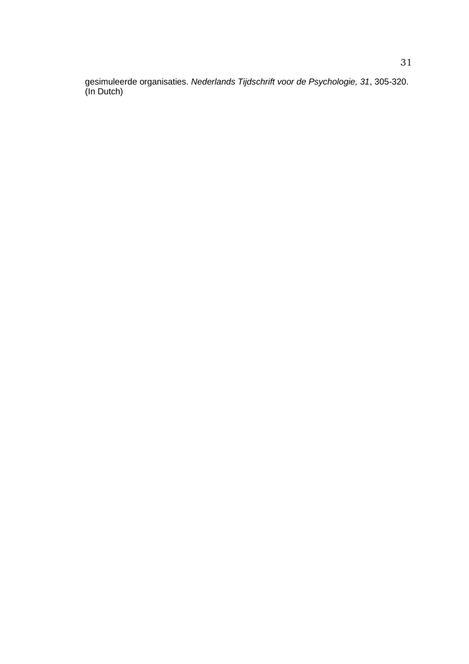gesimuleerde organisaties. *Nederlands Tijdschrift voor de Psychologie, 31*, 305*-*320. (In Dutch)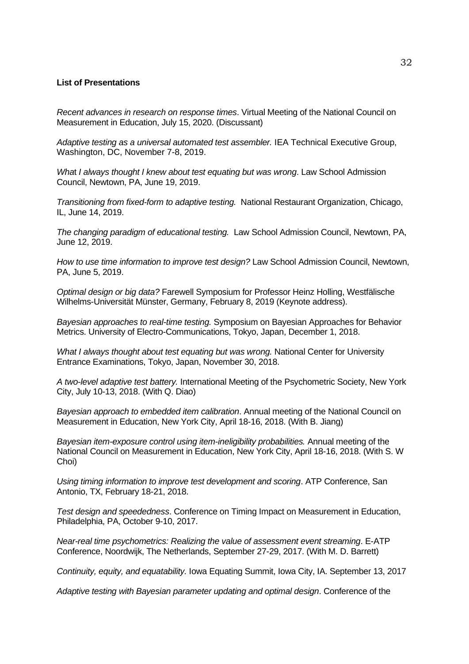## **List of Presentations**

*Recent advances in research on response times*. Virtual Meeting of the National Council on Measurement in Education, July 15, 2020. (Discussant)

*Adaptive testing as a universal automated test assembler.* IEA Technical Executive Group, Washington, DC, November 7-8, 2019.

*Wha*t *I always thought I knew about test equating but was wrong*. Law School Admission Council, Newtown, PA, June 19, 2019.

*Transitioning from fixed-form to adaptive testing.* National Restaurant Organization, Chicago, IL, June 14, 2019.

*The changing paradigm of educational testing.* Law School Admission Council, Newtown, PA, June 12, 2019.

*How to use time information to improve test design?* Law School Admission Council, Newtown, PA, June 5, 2019.

*Optimal design or big data?* Farewell Symposium for Professor Heinz Holling, Westfälische Wilhelms-Universität Münster, Germany, February 8, 2019 (Keynote address).

*Bayesian approaches to real-time testing.* Symposium on Bayesian Approaches for Behavior Metrics. University of Electro-Communications, Tokyo, Japan, December 1, 2018.

*What I always thought about test equating but was wrong.* National Center for University Entrance Examinations, Tokyo, Japan, November 30, 2018.

*A two-level adaptive test battery.* International Meeting of the Psychometric Society, New York City, July 10-13, 2018. (With Q. Diao)

*Bayesian approach to embedded item calibration*. Annual meeting of the National Council on Measurement in Education, New York City, April 18-16, 2018. (With B. Jiang)

*Bayesian item-exposure control using item-ineligibility probabilities.* Annual meeting of the National Council on Measurement in Education, New York City, April 18-16, 2018. (With S. W Choi)

*Using timing information to improve test development and scoring*. ATP Conference, San Antonio, TX, February 18-21, 2018.

*Test design and speededness*. Conference on Timing Impact on Measurement in Education, Philadelphia, PA, October 9-10, 2017.

*Near-real time psychometrics: Realizing the value of assessment event streaming*. E-ATP Conference, Noordwijk, The Netherlands, September 27-29, 2017. (With M. D. Barrett)

*Continuity, equity, and equatability.* Iowa Equating Summit, Iowa City, IA. September 13, 2017

*Adaptive testing with Bayesian parameter updating and optimal design*. Conference of the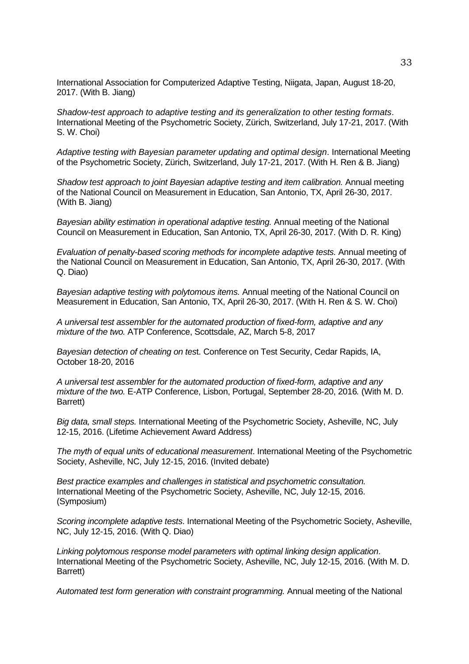International Association for Computerized Adaptive Testing, Niigata, Japan, August 18-20, 2017. (With B. Jiang)

*Shadow-test approach to adaptive testing and its generalization to other testing formats*. International Meeting of the Psychometric Society, Zürich, Switzerland, July 17-21, 2017. (With S. W. Choi)

*Adaptive testing with Bayesian parameter updating and optimal design*. International Meeting of the Psychometric Society, Zürich, Switzerland, July 17-21, 2017. (With H. Ren & B. Jiang)

*Shadow test approach to joint Bayesian adaptive testing and item calibration.* Annual meeting of the National Council on Measurement in Education, San Antonio, TX, April 26-30, 2017. (With B. Jiang)

*Bayesian ability estimation in operational adaptive testing.* Annual meeting of the National Council on Measurement in Education, San Antonio, TX, April 26-30, 2017. (With D. R. King)

*Evaluation of penalty-based scoring methods for incomplete adaptive tests.* Annual meeting of the National Council on Measurement in Education, San Antonio, TX, April 26-30, 2017. (With Q. Diao)

*Bayesian adaptive testing with polytomous items.* Annual meeting of the National Council on Measurement in Education, San Antonio, TX, April 26-30, 2017. (With H. Ren & S. W. Choi)

*A universal test assembler for the automated production of fixed-form, adaptive and any mixture of the two.* ATP Conference, Scottsdale, AZ, March 5-8, 2017

*Bayesian detection of cheating on tes*t. Conference on Test Security, Cedar Rapids, IA, October 18-20, 2016

*A universal test assembler for the automated production of fixed-form, adaptive and any mixture of the two.* E-ATP Conference, Lisbon, Portugal, September 28-20, 2016*.* (With M. D. Barrett)

*Big data, small steps.* International Meeting of the Psychometric Society, Asheville, NC, July 12-15, 2016. (Lifetime Achievement Award Address)

*The myth of equal units of educational measurement*. International Meeting of the Psychometric Society, Asheville, NC, July 12-15, 2016. (Invited debate)

*Best practice examples and challenges in statistical and psychometric consultation.* International Meeting of the Psychometric Society, Asheville, NC, July 12-15, 2016. (Symposium)

*Scoring incomplete adaptive tests*. International Meeting of the Psychometric Society, Asheville, NC, July 12-15, 2016. (With Q. Diao)

*Linking polytomous response model parameters with optimal linking design application*. International Meeting of the Psychometric Society, Asheville, NC, July 12-15, 2016. (With M. D. Barrett)

*Automated test form generation with constraint programming.* Annual meeting of the National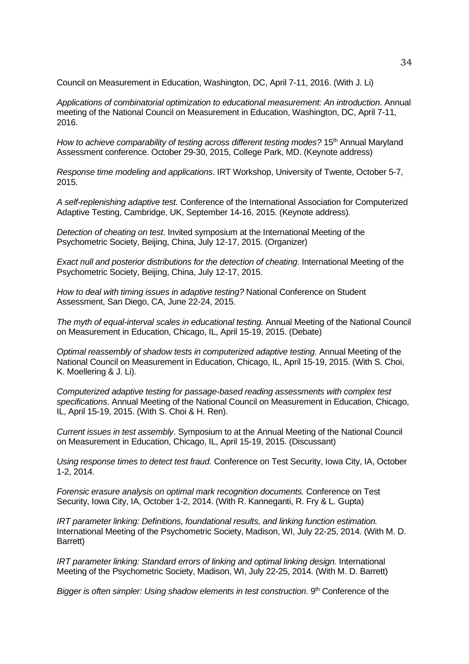Council on Measurement in Education, Washington, DC, April 7-11, 2016. (With J. Li)

*Applications of combinatorial optimization to educational measurement: An introduction*. Annual meeting of the National Council on Measurement in Education, Washington, DC, April 7-11, 2016.

*How to achieve comparability of testing across different testing modes?* 15<sup>th</sup> Annual Maryland Assessment conference. October 29-30, 2015, College Park, MD. (Keynote address)

*Response time modeling and applications*. IRT Workshop, University of Twente, October 5-7, 2015.

*A self-replenishing adaptive test.* Conference of the International Association for Computerized Adaptive Testing, Cambridge, UK, September 14-16, 2015. (Keynote address)*.* 

*Detection of cheating on test*. Invited symposium at the International Meeting of the Psychometric Society, Beijing, China, July 12-17, 2015. (Organizer)

*Exact null and posterior distributions for the detection of cheating*. International Meeting of the Psychometric Society, Beijing, China, July 12-17, 2015.

*How to deal with timing issues in adaptive testing?* National Conference on Student Assessment, San Diego, CA, June 22-24, 2015.

*The myth of equal-interval scales in educational testing.* Annual Meeting of the National Council on Measurement in Education, Chicago, IL, April 15-19, 2015. (Debate)

*Optimal reassembly of shadow tests in computerized adaptive testing*. Annual Meeting of the National Council on Measurement in Education, Chicago, IL, April 15-19, 2015. (With S. Choi, K. Moellering & J. Li).

*Computerized adaptive testing for passage-based reading assessments with complex test specifications*. Annual Meeting of the National Council on Measurement in Education, Chicago, IL, April 15-19, 2015. (With S. Choi & H. Ren).

*Current issues in test assembly*. Symposium to at the Annual Meeting of the National Council on Measurement in Education, Chicago, IL, April 15-19, 2015. (Discussant)

*Using response times to detect test fraud*. Conference on Test Security, Iowa City, IA, October 1-2, 2014.

*Forensic erasure analysis on optimal mark recognition documents.* Conference on Test Security, Iowa City, IA, October 1-2, 2014. (With R. Kanneganti, R. Fry & L. Gupta)

*IRT parameter linking: Definitions, foundational results, and linking function estimation.*  International Meeting of the Psychometric Society, Madison, WI, July 22-25, 2014. (With M. D. Barrett)

*IRT parameter linking: Standard errors of linking and optimal linking design.* International Meeting of the Psychometric Society, Madison, WI, July 22-25, 2014. (With M. D. Barrett)

*Bigger is often simpler: Using shadow elements in test construction*. 9<sup>th</sup> Conference of the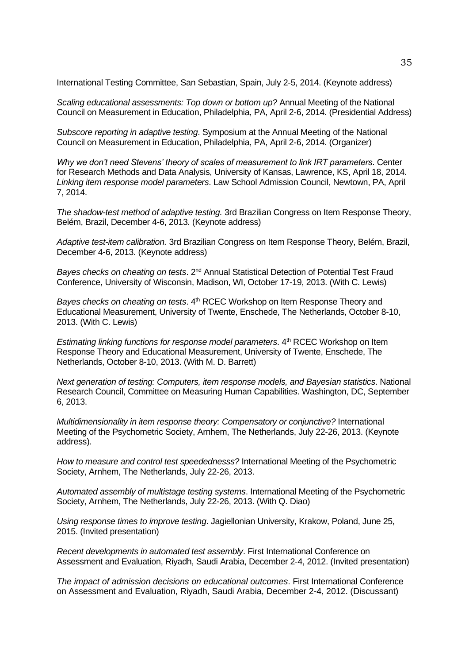International Testing Committee, San Sebastian, Spain, July 2-5, 2014. (Keynote address)

*Scaling educational assessments: Top down or bottom up?* Annual Meeting of the National Council on Measurement in Education, Philadelphia, PA, April 2-6, 2014. (Presidential Address)

*Subscore reporting in adaptive testing*. Symposium at the Annual Meeting of the National Council on Measurement in Education, Philadelphia, PA, April 2-6, 2014. (Organizer)

*Why we don't need Stevens' theory of scales of measurement to link IRT parameters*. Center for Research Methods and Data Analysis, University of Kansas, Lawrence, KS, April 18, 2014. *Linking item response model parameters*. Law School Admission Council, Newtown, PA, April 7, 2014.

*The shadow-test method of adaptive testing.* 3rd Brazilian Congress on Item Response Theory, Belém, Brazil, December 4-6, 2013. (Keynote address)

*Adaptive test-item calibration.* 3rd Brazilian Congress on Item Response Theory, Belém, Brazil, December 4-6, 2013. (Keynote address)

*Bayes checks on cheating on tests*. 2nd Annual Statistical Detection of Potential Test Fraud Conference, University of Wisconsin, Madison, WI, October 17-19, 2013. (With C. Lewis)

*Bayes checks on cheating on tests.* 4<sup>th</sup> RCEC Workshop on Item Response Theory and Educational Measurement, University of Twente, Enschede, The Netherlands, October 8-10, 2013. (With C. Lewis)

*Estimating linking functions for response model parameters*. 4<sup>th</sup> RCEC Workshop on Item Response Theory and Educational Measurement, University of Twente, Enschede, The Netherlands, October 8-10, 2013. (With M. D. Barrett)

*Next generation of testing: Computers, item response models, and Bayesian statistics*. National Research Council, Committee on Measuring Human Capabilities. Washington, DC, September 6, 2013.

*Multidimensionality in item response theory: Compensatory or conjunctive?* International Meeting of the Psychometric Society, Arnhem, The Netherlands, July 22-26, 2013. (Keynote address).

*How to measure and control test speedednesss?* International Meeting of the Psychometric Society, Arnhem, The Netherlands, July 22-26, 2013.

*Automated assembly of multistage testing systems*. International Meeting of the Psychometric Society, Arnhem, The Netherlands, July 22-26, 2013. (With Q. Diao)

*Using response times to improve testing*. Jagiellonian University, Krakow, Poland, June 25, 2015. (Invited presentation)

*Recent developments in automated test assembly*. First International Conference on Assessment and Evaluation, Riyadh, Saudi Arabia, December 2-4, 2012. (Invited presentation)

*The impact of admission decisions on educational outcomes*. First International Conference on Assessment and Evaluation, Riyadh, Saudi Arabia, December 2-4, 2012. (Discussant)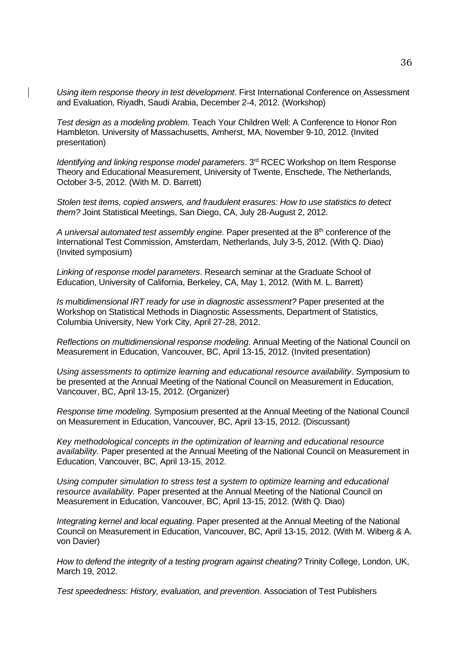*Using item response theory in test development*. First International Conference on Assessment and Evaluation, Riyadh, Saudi Arabia, December 2-4, 2012. (Workshop)

*Test design as a modeling problem.* Teach Your Children Well: A Conference to Honor Ron Hambleton. University of Massachusetts, Amherst, MA, November 9-10, 2012. (Invited presentation)

*Identifying and linking response model parameters.* 3<sup>rd</sup> RCEC Workshop on Item Response Theory and Educational Measurement, University of Twente, Enschede, The Netherlands, October 3-5, 2012. (With M. D. Barrett)

*Stolen test items, copied answers, and fraudulent erasures: How to use statistics to detect them?* Joint Statistical Meetings, San Diego, CA, July 28-August 2, 2012.

*A universal automated test assembly engine*. Paper presented at the 8th conference of the International Test Commission, Amsterdam, Netherlands, July 3-5, 2012. (With Q. Diao) (Invited symposium)

*Linking of response model parameters*. Research seminar at the Graduate School of Education, University of California, Berkeley, CA, May 1, 2012. (With M. L. Barrett)

*Is multidimensional IRT ready for use in diagnostic assessment?* Paper presented at the Workshop on Statistical Methods in Diagnostic Assessments, Department of Statistics, Columbia University, New York City, April 27-28, 2012.

*Reflections on multidimensional response modeling*. Annual Meeting of the National Council on Measurement in Education, Vancouver, BC, April 13-15, 2012. (Invited presentation)

*Using assessments to optimize learning and educational resource availability*. Symposium to be presented at the Annual Meeting of the National Council on Measurement in Education, Vancouver, BC, April 13-15, 2012. (Organizer)

*Response time modeling*. Symposium presented at the Annual Meeting of the National Council on Measurement in Education, Vancouver, BC, April 13-15, 2012. (Discussant)

*Key methodological concepts in the optimization of learning and educational resource availability.* Paper presented at the Annual Meeting of the National Council on Measurement in Education, Vancouver, BC, April 13-15, 2012.

*Using computer simulation to stress test a system to optimize learning and educational resource availability.* Paper presented at the Annual Meeting of the National Council on Measurement in Education, Vancouver, BC, April 13-15, 2012. (With Q. Diao)

*Integrating kernel and local equating*. Paper presented at the Annual Meeting of the National Council on Measurement in Education, Vancouver, BC, April 13-15, 2012. (With M. Wiberg & A. von Davier)

*How to defend the integrity of a testing program against cheating?* Trinity College, London, UK, March 19, 2012*.*

*Test speededness: History, evaluation, and prevention*. Association of Test Publishers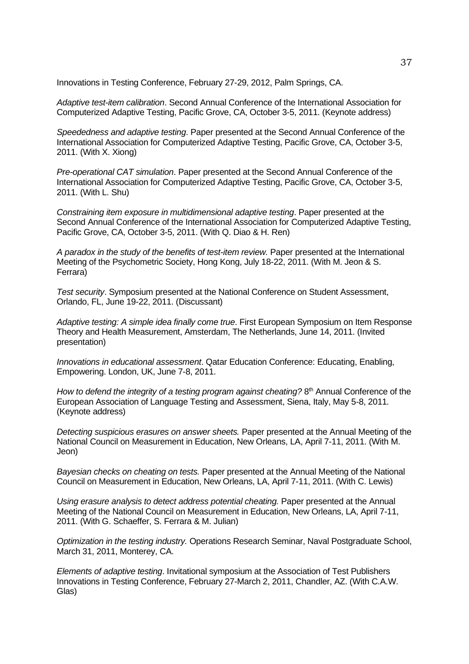Innovations in Testing Conference, February 27-29, 2012, Palm Springs, CA.

*Adaptive test-item calibration*. Second Annual Conference of the International Association for Computerized Adaptive Testing, Pacific Grove, CA, October 3-5, 2011. (Keynote address)

*Speededness and adaptive testing*. Paper presented at the Second Annual Conference of the International Association for Computerized Adaptive Testing, Pacific Grove, CA, October 3-5, 2011. (With X. Xiong)

*Pre-operational CAT simulation*. Paper presented at the Second Annual Conference of the International Association for Computerized Adaptive Testing, Pacific Grove, CA, October 3-5, 2011. (With L. Shu)

*Constraining item exposure in multidimensional adaptive testing*. Paper presented at the Second Annual Conference of the International Association for Computerized Adaptive Testing, Pacific Grove, CA, October 3-5, 2011. (With Q. Diao & H. Ren)

*A paradox in the study of the benefits of test-item review.* Paper presented at the International Meeting of the Psychometric Society, Hong Kong, July 18-22, 2011. (With M. Jeon & S. Ferrara)

*Test security*. Symposium presented at the National Conference on Student Assessment, Orlando, FL, June 19-22, 2011. (Discussant)

*Adaptive testing: A simple idea finally come true*. First European Symposium on Item Response Theory and Health Measurement, Amsterdam, The Netherlands, June 14, 2011. (Invited presentation)

*Innovations in educational assessment*. Qatar Education Conference: Educating, Enabling, Empowering. London, UK, June 7-8, 2011.

How to defend the integrity of a testing program against cheating? 8<sup>th</sup> Annual Conference of the European Association of Language Testing and Assessment, Siena, Italy, May 5-8, 2011*.* (Keynote address)

*Detecting suspicious erasures on answer sheets.* Paper presented at the Annual Meeting of the National Council on Measurement in Education, New Orleans, LA, April 7-11, 2011. (With M. Jeon)

*Bayesian checks on cheating on tests.* Paper presented at the Annual Meeting of the National Council on Measurement in Education, New Orleans, LA, April 7-11, 2011. (With C. Lewis)

*Using erasure analysis to detect address potential cheating.* Paper presented at the Annual Meeting of the National Council on Measurement in Education, New Orleans, LA, April 7-11, 2011. (With G. Schaeffer, S. Ferrara & M. Julian)

*Optimization in the testing industry.* Operations Research Seminar, Naval Postgraduate School, March 31, 2011, Monterey, CA.

*Elements of adaptive testing*. Invitational symposium at the Association of Test Publishers Innovations in Testing Conference, February 27-March 2, 2011, Chandler, AZ. (With C.A.W. Glas)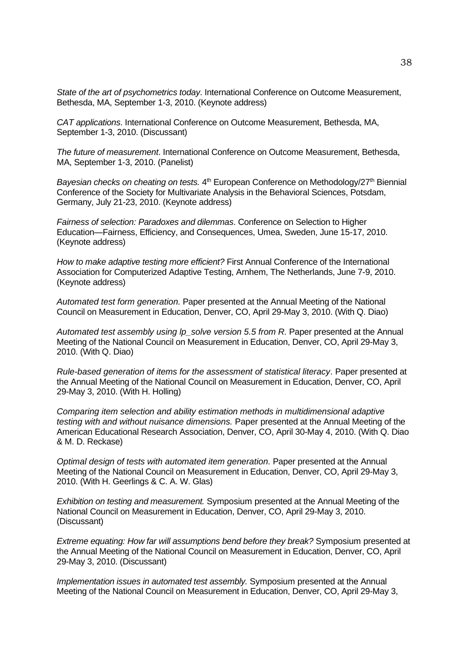*State of the art of psychometrics today*. International Conference on Outcome Measurement, Bethesda, MA, September 1-3, 2010. (Keynote address)

*CAT applications*. International Conference on Outcome Measurement, Bethesda, MA, September 1-3, 2010. (Discussant)

*The future of measurement*. International Conference on Outcome Measurement, Bethesda, MA, September 1-3, 2010. (Panelist)

Bayesian checks on cheating on tests. 4<sup>th</sup> European Conference on Methodology/27<sup>th</sup> Biennial Conference of the Society for Multivariate Analysis in the Behavioral Sciences, Potsdam, Germany, July 21-23, 2010. (Keynote address)

*Fairness of selection: Paradoxes and dilemmas*. Conference on Selection to Higher Education—Fairness, Efficiency, and Consequences, Umea, Sweden, June 15-17, 2010. (Keynote address)

*How to make adaptive testing more efficient?* First Annual Conference of the International Association for Computerized Adaptive Testing, Arnhem, The Netherlands, June 7-9, 2010. (Keynote address)

*Automated test form generation.* Paper presented at the Annual Meeting of the National Council on Measurement in Education, Denver, CO, April 29-May 3, 2010. (With Q. Diao)

Automated test assembly using lp\_solve version 5.5 from R. Paper presented at the Annual Meeting of the National Council on Measurement in Education, Denver, CO, April 29-May 3, 2010. (With Q. Diao)

*Rule-based generation of items for the assessment of statistical literacy*. Paper presented at the Annual Meeting of the National Council on Measurement in Education, Denver, CO, April 29-May 3, 2010. (With H. Holling)

*Comparing item selection and ability estimation methods in multidimensional adaptive testing with and without nuisance dimensions.* Paper presented at the Annual Meeting of the American Educational Research Association, Denver, CO, April 30-May 4, 2010. (With Q. Diao & M. D. Reckase)

*Optimal design of tests with automated item generation.* Paper presented at the Annual Meeting of the National Council on Measurement in Education, Denver, CO, April 29-May 3, 2010. (With H. Geerlings & C. A. W. Glas)

*Exhibition on testing and measurement.* Symposium presented at the Annual Meeting of the National Council on Measurement in Education, Denver, CO, April 29-May 3, 2010. (Discussant)

*Extreme equating: How far will assumptions bend before they break?* Symposium presented at the Annual Meeting of the National Council on Measurement in Education, Denver, CO, April 29-May 3, 2010. (Discussant)

*Implementation issues in automated test assembly.* Symposium presented at the Annual Meeting of the National Council on Measurement in Education, Denver, CO, April 29-May 3,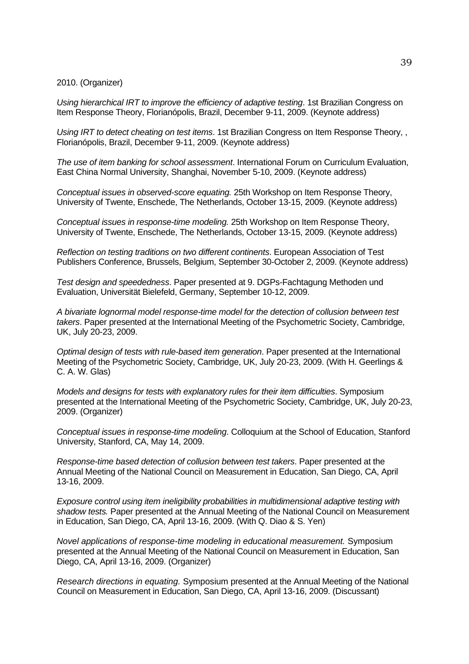2010. (Organizer)

*Using hierarchical IRT to improve the efficiency of adaptive testing*. 1st Brazilian Congress on Item Response Theory, Florianópolis, Brazil, December 9-11, 2009. (Keynote address)

*Using IRT to detect cheating on test items*. 1st Brazilian Congress on Item Response Theory, , Florianópolis, Brazil, December 9-11, 2009. (Keynote address)

*The use of item banking for school assessment*. International Forum on Curriculum Evaluation, East China Normal University, Shanghai, November 5-10, 2009. (Keynote address)

*Conceptual issues in observed-score equating.* 25th Workshop on Item Response Theory, University of Twente, Enschede, The Netherlands, October 13-15, 2009. (Keynote address)

*Conceptual issues in response-time modeling.* 25th Workshop on Item Response Theory, University of Twente, Enschede, The Netherlands, October 13-15, 2009. (Keynote address)

*Reflection on testing traditions on two different continents*. European Association of Test Publishers Conference, Brussels, Belgium, September 30-October 2, 2009. (Keynote address)

*Test design and speededness*. Paper presented at 9. DGPs-Fachtagung Methoden und Evaluation, Universität Bielefeld, Germany, September 10-12, 2009.

*A bivariate lognormal model response-time model for the detection of collusion between test takers*. Paper presented at the International Meeting of the Psychometric Society, Cambridge, UK, July 20-23, 2009.

*Optimal design of tests with rule-based item generation*. Paper presented at the International Meeting of the Psychometric Society, Cambridge, UK, July 20-23, 2009. (With H. Geerlings & C. A. W. Glas)

*Models and designs for tests with explanatory rules for their item difficulties*. Symposium presented at the International Meeting of the Psychometric Society, Cambridge, UK, July 20-23, 2009. (Organizer)

*Conceptual issues in response-time modeling*. Colloquium at the School of Education, Stanford University, Stanford, CA, May 14, 2009.

*Response-time based detection of collusion between test takers*. Paper presented at the Annual Meeting of the National Council on Measurement in Education, San Diego, CA, April 13-16, 2009.

*Exposure control using item ineligibility probabilities in multidimensional adaptive testing with shadow tests.* Paper presented at the Annual Meeting of the National Council on Measurement in Education, San Diego, CA, April 13-16, 2009. (With Q. Diao & S. Yen)

*Novel applications of response-time modeling in educational measurement.* Symposium presented at the Annual Meeting of the National Council on Measurement in Education, San Diego, CA, April 13-16, 2009. (Organizer)

*Research directions in equating.* Symposium presented at the Annual Meeting of the National Council on Measurement in Education, San Diego, CA, April 13-16, 2009. (Discussant)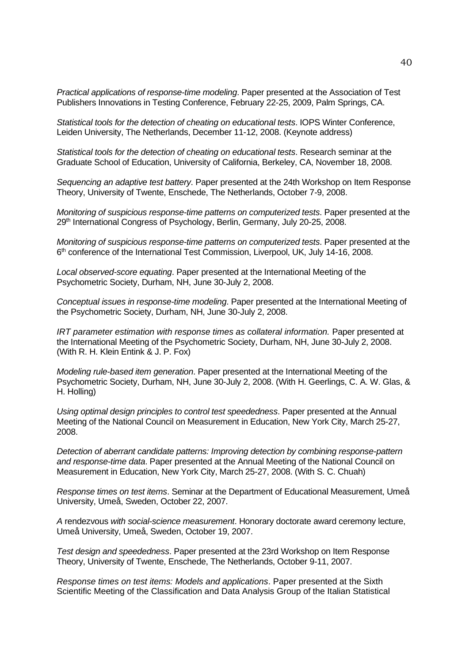*Practical applications of response-time modeling*. Paper presented at the Association of Test Publishers Innovations in Testing Conference, February 22-25, 2009, Palm Springs, CA.

*Statistical tools for the detection of cheating on educational tests*. IOPS Winter Conference, Leiden University, The Netherlands, December 11-12, 2008. (Keynote address)

*Statistical tools for the detection of cheating on educational tests*. Research seminar at the Graduate School of Education, University of California, Berkeley, CA, November 18, 2008.

*Sequencing an adaptive test battery*. Paper presented at the 24th Workshop on Item Response Theory, University of Twente, Enschede, The Netherlands, October 7*-*9, 2008.

*Monitoring of suspicious response-time patterns on computerized tests*. Paper presented at the 29<sup>th</sup> International Congress of Psychology, Berlin, Germany, July 20-25, 2008.

*Monitoring of suspicious response-time patterns on computerized tests*. Paper presented at the 6<sup>th</sup> conference of the International Test Commission, Liverpool, UK, July 14-16, 2008.

*Local observed-score equating*. Paper presented at the International Meeting of the Psychometric Society, Durham, NH, June 30-July 2, 2008.

*Conceptual issues in response-time modeling*. Paper presented at the International Meeting of the Psychometric Society, Durham, NH, June 30-July 2, 2008.

*IRT parameter estimation with response times as collateral information.* Paper presented at the International Meeting of the Psychometric Society, Durham, NH, June 30-July 2, 2008. (With R. H. Klein Entink & J. P. Fox)

*Modeling rule-based item generation*. Paper presented at the International Meeting of the Psychometric Society, Durham, NH, June 30-July 2, 2008. (With H. Geerlings, C. A. W. Glas, & H. Holling)

*Using optimal design principles to control test speededness*. Paper presented at the Annual Meeting of the National Council on Measurement in Education, New York City, March 25-27, 2008.

*Detection of aberrant candidate patterns: Improving detection by combining response-pattern and response-time data*. Paper presented at the Annual Meeting of the National Council on Measurement in Education, New York City, March 25-27, 2008. (With S. C. Chuah)

*Response times on test items*. Seminar at the Department of Educational Measurement, Umeå University, Umeå, Sweden, October 22, 2007.

*A* rendezvous *with social-science measurement*. Honorary doctorate award ceremony lecture, Umeå University, Umeå, Sweden, October 19, 2007.

*Test design and speededness*. Paper presented at the 23rd Workshop on Item Response Theory, University of Twente, Enschede, The Netherlands, October 9*-*11, 2007.

*Response times on test items: Models and applications*. Paper presented at the Sixth Scientific Meeting of the Classification and Data Analysis Group of the Italian Statistical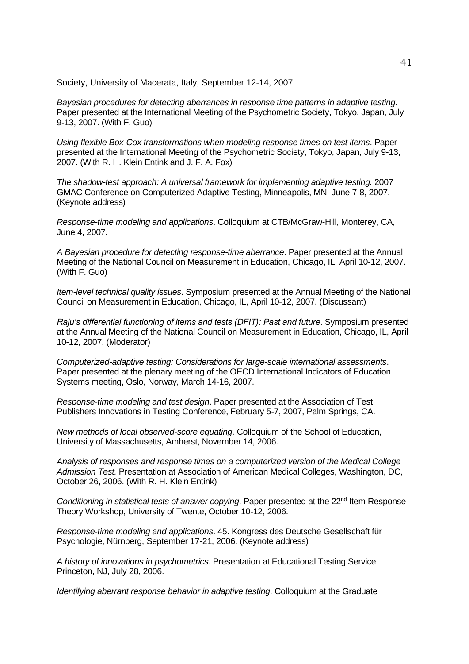Society, University of Macerata, Italy, September 12-14, 2007.

*Bayesian procedures for detecting aberrances in response time patterns in adaptive testing*. Paper presented at the International Meeting of the Psychometric Society, Tokyo, Japan, July 9-13, 2007. (With F. Guo)

*Using flexible Box-Cox transformations when modeling response times on test items*. Paper presented at the International Meeting of the Psychometric Society, Tokyo, Japan, July 9-13, 2007. (With R. H. Klein Entink and J. F. A. Fox)

*The shadow-test approach: A universal framework for implementing adaptive testing.* 2007 GMAC Conference on Computerized Adaptive Testing, Minneapolis, MN, June 7-8, 2007. (Keynote address)

*Response-time modeling and applications*. Colloquium at CTB/McGraw-Hill, Monterey, CA, June 4, 2007.

*A Bayesian procedure for detecting response-time aberrance*. Paper presented at the Annual Meeting of the National Council on Measurement in Education, Chicago, IL, April 10-12, 2007. (With F. Guo)

*Item-level technical quality issues*. Symposium presented at the Annual Meeting of the National Council on Measurement in Education, Chicago, IL, April 10-12, 2007. (Discussant)

*Raju's differential functioning of items and tests (DFIT): Past and future. Symposium presented* at the Annual Meeting of the National Council on Measurement in Education, Chicago, IL, April 10-12, 2007. (Moderator)

*Computerized-adaptive testing: Considerations for large-scale international assessments*. Paper presented at the plenary meeting of the OECD International Indicators of Education Systems meeting, Oslo, Norway, March 14-16, 2007.

*Response-time modeling and test design*. Paper presented at the Association of Test Publishers Innovations in Testing Conference, February 5-7, 2007, Palm Springs, CA.

*New methods of local observed-score equating*. Colloquium of the School of Education, University of Massachusetts, Amherst, November 14, 2006.

*Analysis of responses and response times on a computerized version of the Medical College Admission Test.* Presentation at Association of American Medical Colleges, Washington, DC, October 26, 2006. (With R. H. Klein Entink)

*Conditioning in statistical tests of answer copying.* Paper presented at the 22<sup>nd</sup> Item Response Theory Workshop, University of Twente, October 10-12, 2006.

*Response-time modeling and applications*. 45. Kongress des Deutsche Gesellschaft für Psychologie, Nürnberg, September 17-21, 2006. (Keynote address)

*A history of innovations in psychometrics*. Presentation at Educational Testing Service, Princeton, NJ, July 28, 2006.

*Identifying aberrant response behavior in adaptive testing*. Colloquium at the Graduate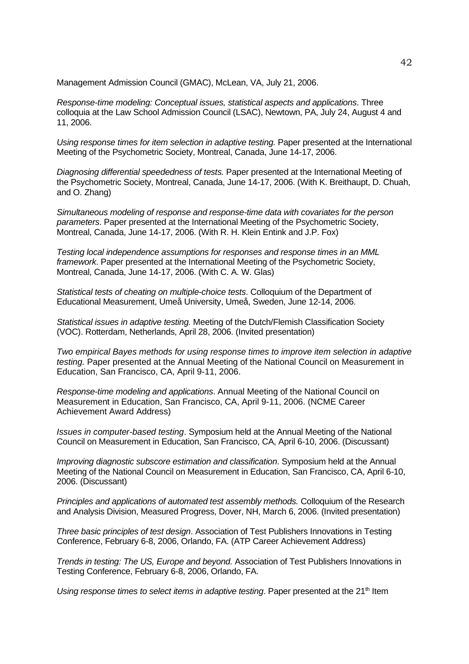Management Admission Council (GMAC), McLean, VA, July 21, 2006.

*Response-time modeling: Conceptual issues, statistical aspects and applications*. Three colloquia at the Law School Admission Council (LSAC), Newtown, PA, July 24, August 4 and 11, 2006.

*Using response times for item selection in adaptive testing.* Paper presented at the International Meeting of the Psychometric Society, Montreal, Canada, June 14-17, 2006.

*Diagnosing differential speededness of tests.* Paper presented at the International Meeting of the Psychometric Society, Montreal, Canada, June 14-17, 2006. (With K. Breithaupt, D. Chuah, and O. Zhang)

*Simultaneous modeling of response and response-time data with covariates for the person parameters*. Paper presented at the International Meeting of the Psychometric Society, Montreal, Canada, June 14-17, 2006. (With R. H. Klein Entink and J.P. Fox)

*Testing local independence assumptions for responses and response times in an MML framework*. Paper presented at the International Meeting of the Psychometric Society, Montreal, Canada, June 14-17, 2006. (With C. A. W. Glas)

*Statistical tests of cheating on multiple-choice tests*. Colloquium of the Department of Educational Measurement, Umeå University, Umeå, Sweden, June 12-14, 2006.

*Statistical issues in adaptive testing.* Meeting of the Dutch/Flemish Classification Society (VOC). Rotterdam, Netherlands, April 28, 2006. (Invited presentation)

*Two empirical Bayes methods for using response times to improve item selection in adaptive testing.* Paper presented at the Annual Meeting of the National Council on Measurement in Education, San Francisco, CA, April 9-11, 2006.

*Response-time modeling and applications*. Annual Meeting of the National Council on Measurement in Education, San Francisco, CA, April 9-11, 2006. (NCME Career Achievement Award Address)

*Issues in computer-based testing*. Symposium held at the Annual Meeting of the National Council on Measurement in Education, San Francisco, CA, April 6*-*10, 2006. (Discussant)

*Improving diagnostic subscore estimation and classification*. Symposium held at the Annual Meeting of the National Council on Measurement in Education, San Francisco, CA, April 6*-*10, 2006. (Discussant)

*Principles and applications of automated test assembly methods.* Colloquium of the Research and Analysis Division, Measured Progress, Dover, NH, March 6, 2006. (Invited presentation)

*Three basic principles of test design*. Association of Test Publishers Innovations in Testing Conference, February 6-8, 2006, Orlando, FA. (ATP Career Achievement Address)

*Trends in testing: The US, Europe and beyond.* Association of Test Publishers Innovations in Testing Conference, February 6-8, 2006, Orlando, FA.

Using response times to select items in adaptive testing. Paper presented at the 21<sup>th</sup> Item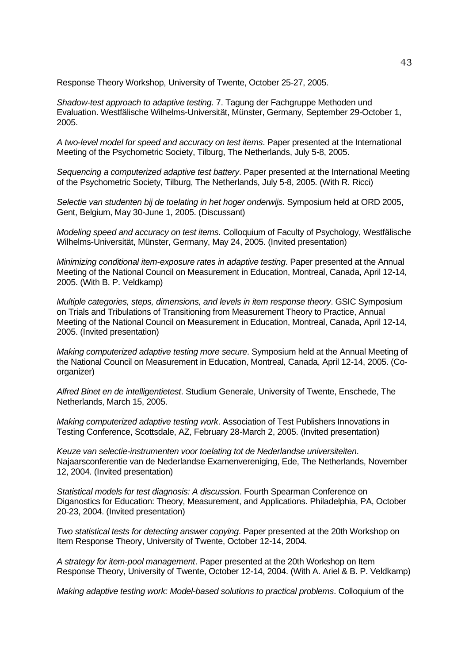Response Theory Workshop, University of Twente, October 25-27, 2005.

*Shadow-test approach to adaptive testing*. 7. Tagung der Fachgruppe Methoden und Evaluation. Westfälische Wilhelms-Universität, Münster, Germany, September 29*-*October 1, 2005.

*A two-level model for speed and accuracy on test items*. Paper presented at the International Meeting of the Psychometric Society, Tilburg, The Netherlands, July 5*-*8, 2005.

*Sequencing a computerized adaptive test battery*. Paper presented at the International Meeting of the Psychometric Society, Tilburg, The Netherlands, July 5*-*8, 2005. (With R. Ricci)

*Selectie van studenten bij de toelating in het hoger onderwijs*. Symposium held at ORD 2005, Gent, Belgium, May 30*-*June 1, 2005. (Discussant)

*Modeling speed and accuracy on test items*. Colloquium of Faculty of Psychology, Westfälische Wilhelms-Universität, Münster, Germany, May 24, 2005. (Invited presentation)

*Minimizing conditional item-exposure rates in adaptive testing*. Paper presented at the Annual Meeting of the National Council on Measurement in Education, Montreal, Canada, April 12*-*14, 2005. (With B. P. Veldkamp)

*Multiple categories, steps, dimensions, and levels in item response theory*. GSIC Symposium on Trials and Tribulations of Transitioning from Measurement Theory to Practice, Annual Meeting of the National Council on Measurement in Education, Montreal, Canada, April 12*-*14, 2005. (Invited presentation)

*Making computerized adaptive testing more secure*. Symposium held at the Annual Meeting of the National Council on Measurement in Education, Montreal, Canada, April 12*-*14, 2005. (Coorganizer)

*Alfred Binet en de intelligentietest*. Studium Generale, University of Twente, Enschede, The Netherlands, March 15, 2005.

*Making computerized adaptive testing work*. Association of Test Publishers Innovations in Testing Conference, Scottsdale, AZ, February 28*-*March 2, 2005. (Invited presentation)

*Keuze van selectie-instrumenten voor toelating tot de Nederlandse universiteiten*. Najaarsconferentie van de Nederlandse Examenvereniging, Ede, The Netherlands, November 12, 2004. (Invited presentation)

*Statistical models for test diagnosis: A discussion*. Fourth Spearman Conference on Diganostics for Education: Theory, Measurement, and Applications. Philadelphia, PA, October 20*-*23, 2004. (Invited presentation)

*Two statistical tests for detecting answer copying*. Paper presented at the 20th Workshop on Item Response Theory, University of Twente, October 12*-*14, 2004.

*A strategy for item-pool management*. Paper presented at the 20th Workshop on Item Response Theory, University of Twente, October 12*-*14, 2004. (With A. Ariel & B. P. Veldkamp)

*Making adaptive testing work: Model-based solutions to practical problems*. Colloquium of the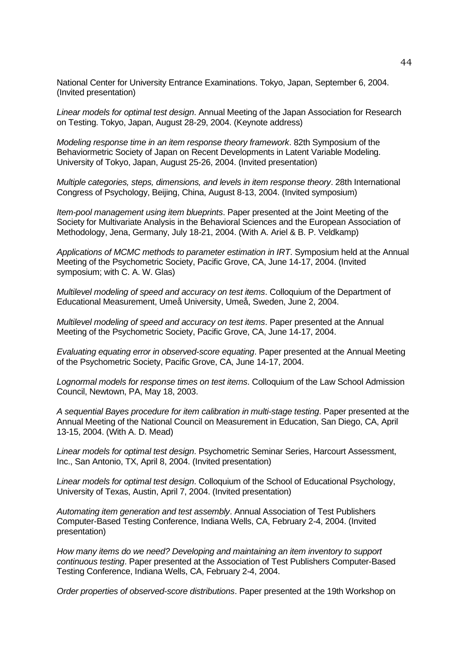National Center for University Entrance Examinations. Tokyo, Japan, September 6, 2004. (Invited presentation)

*Linear models for optimal test design*. Annual Meeting of the Japan Association for Research on Testing. Tokyo, Japan, August 28*-*29, 2004. (Keynote address)

*Modeling response time in an item response theory framework*. 82th Symposium of the Behaviormetric Society of Japan on Recent Developments in Latent Variable Modeling. University of Tokyo, Japan, August 25*-*26, 2004. (Invited presentation)

*Multiple categories, steps, dimensions, and levels in item response theory*. 28th International Congress of Psychology, Beijing, China, August 8*-*13, 2004. (Invited symposium)

*Item-pool management using item blueprints*. Paper presented at the Joint Meeting of the Society for Multivariate Analysis in the Behavioral Sciences and the European Association of Methodology, Jena, Germany, July 18*-*21, 2004. (With A. Ariel & B. P. Veldkamp)

*Applications of MCMC methods to parameter estimation in IRT*. Symposium held at the Annual Meeting of the Psychometric Society, Pacific Grove, CA, June 14*-*17, 2004. (Invited symposium; with C. A. W. Glas)

*Multilevel modeling of speed and accuracy on test items*. Colloquium of the Department of Educational Measurement, Umeå University, Umeå, Sweden, June 2, 2004.

*Multilevel modeling of speed and accuracy on test items*. Paper presented at the Annual Meeting of the Psychometric Society, Pacific Grove, CA, June 14*-*17, 2004.

*Evaluating equating error in observed-score equating*. Paper presented at the Annual Meeting of the Psychometric Society, Pacific Grove, CA, June 14*-*17, 2004.

*Lognormal models for response times on test items*. Colloquium of the Law School Admission Council, Newtown, PA, May 18, 2003.

*A sequential Bayes procedure for item calibration in multi-stage testing*. Paper presented at the Annual Meeting of the National Council on Measurement in Education, San Diego, CA, April 13*-*15, 2004. (With A. D. Mead)

*Linear models for optimal test design*. Psychometric Seminar Series, Harcourt Assessment, Inc., San Antonio, TX, April 8, 2004. (Invited presentation)

*Linear models for optimal test design*. Colloquium of the School of Educational Psychology, University of Texas, Austin, April 7, 2004. (Invited presentation)

*Automating item generation and test assembly*. Annual Association of Test Publishers Computer-Based Testing Conference, Indiana Wells, CA, February 2*-*4, 2004. (Invited presentation)

*How many items do we need? Developing and maintaining an item inventory to support continuous testing*. Paper presented at the Association of Test Publishers Computer-Based Testing Conference, Indiana Wells, CA, February 2*-*4, 2004.

*Order properties of observed-score distributions*. Paper presented at the 19th Workshop on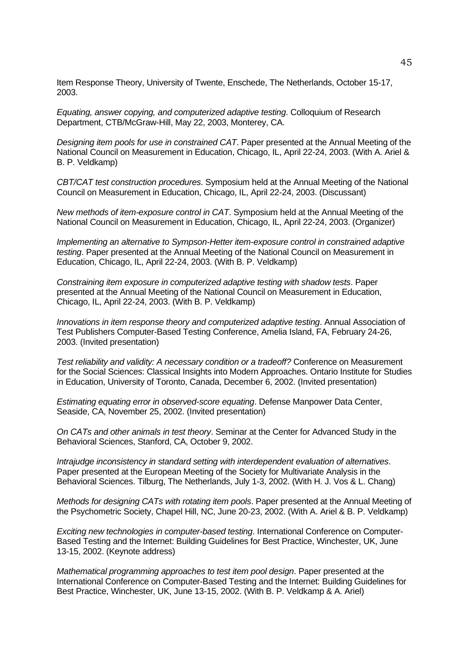Item Response Theory, University of Twente, Enschede, The Netherlands, October 15*-*17, 2003.

*Equating, answer copying, and computerized adaptive testing*. Colloquium of Research Department, CTB/McGraw-Hill, May 22, 2003, Monterey, CA.

*Designing item pools for use in constrained CAT*. Paper presented at the Annual Meeting of the National Council on Measurement in Education, Chicago, IL, April 22*-*24, 2003. (With A. Ariel & B. P. Veldkamp)

*CBT/CAT test construction procedures*. Symposium held at the Annual Meeting of the National Council on Measurement in Education, Chicago, IL, April 22*-*24, 2003. (Discussant)

*New methods of item-exposure control in CAT*. Symposium held at the Annual Meeting of the National Council on Measurement in Education, Chicago, IL, April 22*-*24, 2003. (Organizer)

*Implementing an alternative to Sympson-Hetter item-exposure control in constrained adaptive testing*. Paper presented at the Annual Meeting of the National Council on Measurement in Education, Chicago, IL, April 22*-*24, 2003. (With B. P. Veldkamp)

*Constraining item exposure in computerized adaptive testing with shadow tests*. Paper presented at the Annual Meeting of the National Council on Measurement in Education, Chicago, IL, April 22*-*24, 2003. (With B. P. Veldkamp)

*Innovations in item response theory and computerized adaptive testing*. Annual Association of Test Publishers Computer-Based Testing Conference, Amelia Island, FA, February 24*-*26, 2003. (Invited presentation)

*Test reliability and validity: A necessary condition or a tradeoff?* Conference on Measurement for the Social Sciences: Classical Insights into Modern Approaches. Ontario Institute for Studies in Education, University of Toronto, Canada, December 6, 2002. (Invited presentation)

*Estimating equating error in observed-score equating*. Defense Manpower Data Center, Seaside, CA, November 25, 2002. (Invited presentation)

*On CATs and other animals in test theory*. Seminar at the Center for Advanced Study in the Behavioral Sciences, Stanford, CA, October 9, 2002.

*Intrajudge inconsistency in standard setting with interdependent evaluation of alternatives*. Paper presented at the European Meeting of the Society for Multivariate Analysis in the Behavioral Sciences. Tilburg, The Netherlands, July 1*-*3, 2002. (With H. J. Vos & L. Chang)

*Methods for designing CATs with rotating item pools*. Paper presented at the Annual Meeting of the Psychometric Society, Chapel Hill, NC, June 20*-*23, 2002. (With A. Ariel & B. P. Veldkamp)

*Exciting new technologies in computer-based testing*. International Conference on Computer-Based Testing and the Internet: Building Guidelines for Best Practice, Winchester, UK, June 13*-*15, 2002. (Keynote address)

*Mathematical programming approaches to test item pool design*. Paper presented at the International Conference on Computer-Based Testing and the Internet: Building Guidelines for Best Practice, Winchester, UK, June 13*-*15, 2002. (With B. P. Veldkamp & A. Ariel)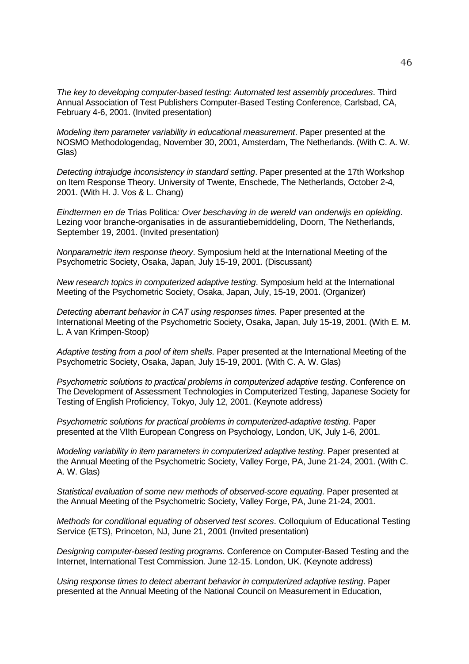*The key to developing computer-based testing: Automated test assembly procedures*. Third Annual Association of Test Publishers Computer-Based Testing Conference, Carlsbad, CA, February 4*-*6, 2001. (Invited presentation)

*Modeling item parameter variability in educational measurement*. Paper presented at the NOSMO Methodologendag, November 30, 2001, Amsterdam, The Netherlands. (With C. A. W. Glas)

*Detecting intrajudge inconsistency in standard setting*. Paper presented at the 17th Workshop on Item Response Theory. University of Twente, Enschede, The Netherlands, October 2*-*4, 2001. (With H. J. Vos & L. Chang)

*Eindtermen en de* Trias Politica*: Over beschaving in de wereld van onderwijs en opleiding*. Lezing voor branche-organisaties in de assurantiebemiddeling, Doorn, The Netherlands, September 19, 2001. (Invited presentation)

*Nonparametric item response theory*. Symposium held at the International Meeting of the Psychometric Society, Osaka, Japan, July 15*-*19, 2001. (Discussant)

*New research topics in computerized adaptive testing*. Symposium held at the International Meeting of the Psychometric Society, Osaka, Japan, July, 15*-*19, 2001. (Organizer)

*Detecting aberrant behavior in CAT using responses times*. Paper presented at the International Meeting of the Psychometric Society, Osaka, Japan, July 15*-*19, 2001. (With E. M. L. A van Krimpen-Stoop)

*Adaptive testing from a pool of item shells*. Paper presented at the International Meeting of the Psychometric Society, Osaka, Japan, July 15*-*19, 2001. (With C. A. W. Glas)

*Psychometric solutions to practical problems in computerized adaptive testing*. Conference on The Development of Assessment Technologies in Computerized Testing, Japanese Society for Testing of English Proficiency, Tokyo, July 12, 2001. (Keynote address)

*Psychometric solutions for practical problems in computerized-adaptive testing*. Paper presented at the VIIth European Congress on Psychology, London, UK, July 1*-*6, 2001.

*Modeling variability in item parameters in computerized adaptive testing*. Paper presented at the Annual Meeting of the Psychometric Society, Valley Forge, PA, June 21*-*24, 2001. (With C. A. W. Glas)

*Statistical evaluation of some new methods of observed-score equating*. Paper presented at the Annual Meeting of the Psychometric Society, Valley Forge, PA, June 21*-*24, 2001.

*Methods for conditional equating of observed test scores*. Colloquium of Educational Testing Service (ETS), Princeton, NJ, June 21, 2001 (Invited presentation)

*Designing computer-based testing programs*. Conference on Computer-Based Testing and the Internet, International Test Commission. June 12*-*15. London, UK. (Keynote address)

*Using response times to detect aberrant behavior in computerized adaptive testing*. Paper presented at the Annual Meeting of the National Council on Measurement in Education,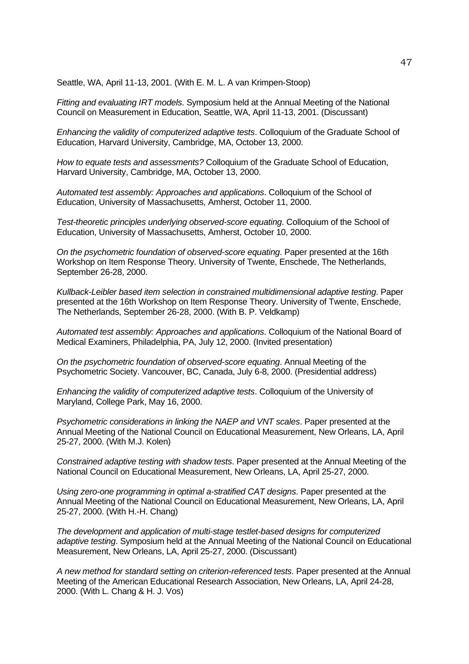Seattle, WA, April 11*-*13, 2001. (With E. M. L. A van Krimpen-Stoop)

*Fitting and evaluating IRT models*. Symposium held at the Annual Meeting of the National Council on Measurement in Education, Seattle, WA, April 11*-*13, 2001. (Discussant)

*Enhancing the validity of computerized adaptive tests*. Colloquium of the Graduate School of Education, Harvard University, Cambridge, MA, October 13, 2000.

*How to equate tests and assessments?* Colloquium of the Graduate School of Education, Harvard University, Cambridge, MA, October 13, 2000.

*Automated test assembly: Approaches and applications*. Colloquium of the School of Education, University of Massachusetts, Amherst, October 11, 2000.

*Test-theoretic principles underlying observed-score equating*. Colloquium of the School of Education, University of Massachusetts, Amherst, October 10, 2000.

*On the psychometric foundation of observed-score equating*. Paper presented at the 16th Workshop on Item Response Theory. University of Twente, Enschede, The Netherlands, September 26*-*28, 2000.

*Kullback-Leibler based item selection in constrained multidimensional adaptive testing*. Paper presented at the 16th Workshop on Item Response Theory. University of Twente, Enschede, The Netherlands, September 26*-*28, 2000. (With B. P. Veldkamp)

*Automated test assembly: Approaches and applications*. Colloquium of the National Board of Medical Examiners, Philadelphia, PA, July 12, 2000. (Invited presentation)

*On the psychometric foundation of observed-score equating*. Annual Meeting of the Psychometric Society. Vancouver, BC, Canada, July 6*-*8, 2000. (Presidential address)

*Enhancing the validity of computerized adaptive tests*. Colloquium of the University of Maryland, College Park, May 16, 2000.

*Psychometric considerations in linking the NAEP and VNT scales*. Paper presented at the Annual Meeting of the National Council on Educational Measurement, New Orleans, LA, April 25*-*27, 2000. (With M.J. Kolen)

*Constrained adaptive testing with shadow tests*. Paper presented at the Annual Meeting of the National Council on Educational Measurement, New Orleans, LA, April 25*-*27, 2000.

*Using zero-one programming in optimal a-stratified CAT designs*. Paper presented at the Annual Meeting of the National Council on Educational Measurement, New Orleans, LA, April 25*-*27, 2000. (With H.-H. Chang)

*The development and application of multi-stage testlet-based designs for computerized adaptive testing*. Symposium held at the Annual Meeting of the National Council on Educational Measurement, New Orleans, LA, April 25*-*27, 2000. (Discussant)

*A new method for standard setting on criterion-referenced tests*. Paper presented at the Annual Meeting of the American Educational Research Association, New Orleans, LA, April 24*-*28, 2000. (With L. Chang & H. J. Vos)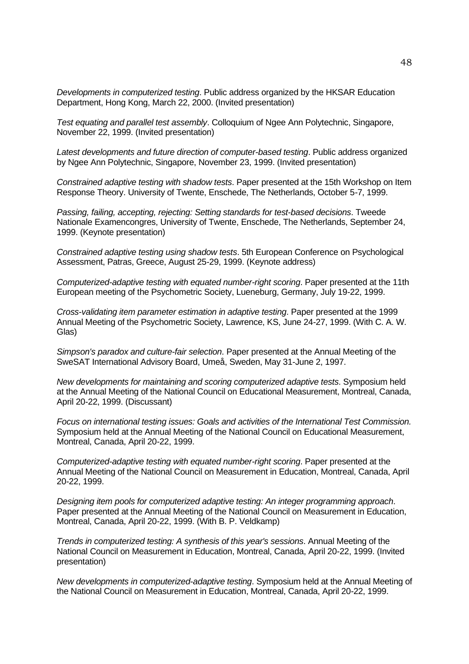*Developments in computerized testing*. Public address organized by the HKSAR Education Department, Hong Kong, March 22, 2000. (Invited presentation)

*Test equating and parallel test assembly*. Colloquium of Ngee Ann Polytechnic, Singapore, November 22, 1999. (Invited presentation)

*Latest developments and future direction of computer-based testing*. Public address organized by Ngee Ann Polytechnic, Singapore, November 23, 1999. (Invited presentation)

*Constrained adaptive testing with shadow tests*. Paper presented at the 15th Workshop on Item Response Theory. University of Twente, Enschede, The Netherlands, October 5*-*7, 1999.

*Passing, failing, accepting, rejecting: Setting standards for test-based decisions*. Tweede Nationale Examencongres, University of Twente, Enschede, The Netherlands, September 24, 1999. (Keynote presentation)

*Constrained adaptive testing using shadow tests*. 5th European Conference on Psychological Assessment, Patras, Greece, August 25*-*29, 1999. (Keynote address)

*Computerized-adaptive testing with equated number-right scoring*. Paper presented at the 11th European meeting of the Psychometric Society, Lueneburg, Germany, July 19*-*22, 1999.

*Cross-validating item parameter estimation in adaptive testing*. Paper presented at the 1999 Annual Meeting of the Psychometric Society, Lawrence, KS, June 24*-*27, 1999. (With C. A. W. Glas)

*Simpson's paradox and culture-fair selection*. Paper presented at the Annual Meeting of the SweSAT International Advisory Board, Umeå, Sweden, May 31*-*June 2, 1997.

*New developments for maintaining and scoring computerized adaptive tests*. Symposium held at the Annual Meeting of the National Council on Educational Measurement, Montreal, Canada, April 20*-*22, 1999. (Discussant)

*Focus on international testing issues: Goals and activities of the International Test Commission.* Symposium held at the Annual Meeting of the National Council on Educational Measurement, Montreal, Canada, April 20*-*22, 1999.

*Computerized-adaptive testing with equated number-right scoring*. Paper presented at the Annual Meeting of the National Council on Measurement in Education, Montreal, Canada, April 20*-*22, 1999.

*Designing item pools for computerized adaptive testing: An integer programming approach*. Paper presented at the Annual Meeting of the National Council on Measurement in Education, Montreal, Canada, April 20*-*22, 1999. (With B. P. Veldkamp)

*Trends in computerized testing: A synthesis of this year's sessions*. Annual Meeting of the National Council on Measurement in Education, Montreal, Canada, April 20*-*22, 1999. (Invited presentation)

*New developments in computerized-adaptive testing*. Symposium held at the Annual Meeting of the National Council on Measurement in Education, Montreal, Canada, April 20*-*22, 1999.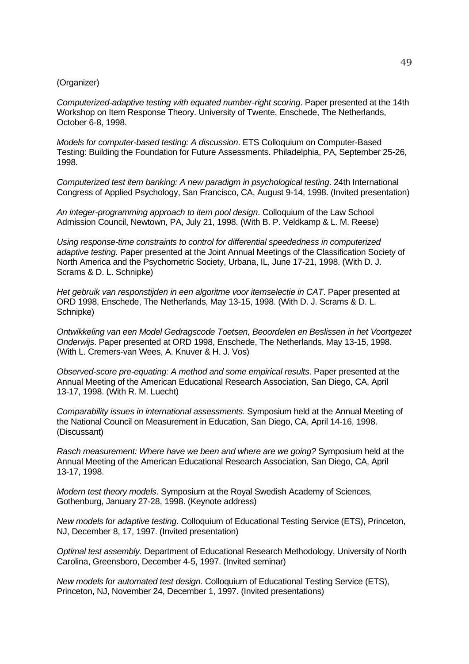### (Organizer)

*Computerized-adaptive testing with equated number-right scoring*. Paper presented at the 14th Workshop on Item Response Theory. University of Twente, Enschede, The Netherlands, October 6*-*8, 1998.

*Models for computer-based testing: A discussion*. ETS Colloquium on Computer-Based Testing: Building the Foundation for Future Assessments. Philadelphia, PA, September 25*-*26, 1998.

*Computerized test item banking: A new paradigm in psychological testing*. 24th International Congress of Applied Psychology, San Francisco, CA, August 9*-*14, 1998. (Invited presentation)

*An integer-programming approach to item pool design*. Colloquium of the Law School Admission Council, Newtown, PA, July 21, 1998. (With B. P. Veldkamp & L. M. Reese)

*Using response-time constraints to control for differential speededness in computerized adaptive testing*. Paper presented at the Joint Annual Meetings of the Classification Society of North America and the Psychometric Society, Urbana, IL, June 17*-*21, 1998. (With D. J. Scrams & D. L. Schnipke)

*Het gebruik van responstijden in een algoritme voor itemselectie in CAT*. Paper presented at ORD 1998, Enschede, The Netherlands, May 13*-*15, 1998. (With D. J. Scrams & D. L. Schnipke)

*Ontwikkeling van een Model Gedragscode Toetsen, Beoordelen en Beslissen in het Voortgezet Onderwijs*. Paper presented at ORD 1998, Enschede, The Netherlands, May 13*-*15, 1998. (With L. Cremers-van Wees, A. Knuver & H. J. Vos)

*Observed-score pre-equating: A method and some empirical results*. Paper presented at the Annual Meeting of the American Educational Research Association, San Diego, CA, April 13*-*17, 1998. (With R. M. Luecht)

*Comparability issues in international assessments*. Symposium held at the Annual Meeting of the National Council on Measurement in Education, San Diego, CA, April 14*-*16, 1998. (Discussant)

*Rasch measurement: Where have we been and where are we going?* Symposium held at the Annual Meeting of the American Educational Research Association, San Diego, CA, April 13*-*17, 1998.

*Modern test theory models*. Symposium at the Royal Swedish Academy of Sciences, Gothenburg, January 27*-*28, 1998. (Keynote address)

*New models for adaptive testing*. Colloquium of Educational Testing Service (ETS), Princeton, NJ, December 8, 17, 1997. (Invited presentation)

*Optimal test assembly*. Department of Educational Research Methodology, University of North Carolina, Greensboro, December 4*-*5, 1997. (Invited seminar)

*New models for automated test design*. Colloquium of Educational Testing Service (ETS), Princeton, NJ, November 24, December 1, 1997. (Invited presentations)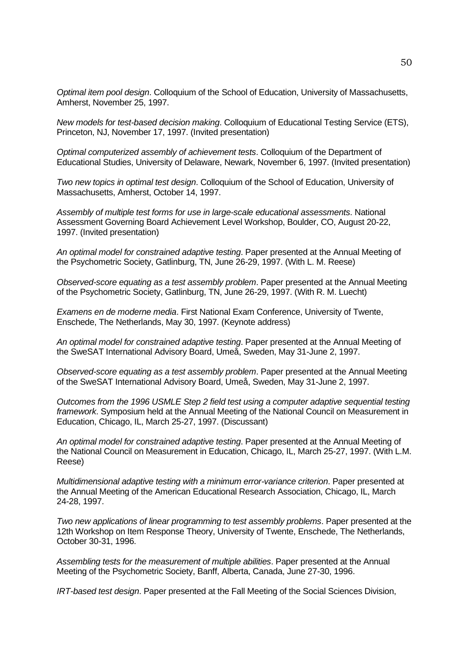*Optimal item pool design*. Colloquium of the School of Education, University of Massachusetts, Amherst, November 25, 1997.

*New models for test-based decision making*. Colloquium of Educational Testing Service (ETS), Princeton, NJ, November 17, 1997. (Invited presentation)

*Optimal computerized assembly of achievement tests*. Colloquium of the Department of Educational Studies, University of Delaware, Newark, November 6, 1997. (Invited presentation)

*Two new topics in optimal test design*. Colloquium of the School of Education, University of Massachusetts, Amherst, October 14, 1997.

*Assembly of multiple test forms for use in large-scale educational assessments*. National Assessment Governing Board Achievement Level Workshop, Boulder, CO, August 20-22, 1997. (Invited presentation)

*An optimal model for constrained adaptive testing*. Paper presented at the Annual Meeting of the Psychometric Society, Gatlinburg, TN, June 26*-*29, 1997. (With L. M. Reese)

*Observed-score equating as a test assembly problem*. Paper presented at the Annual Meeting of the Psychometric Society, Gatlinburg, TN, June 26*-*29, 1997. (With R. M. Luecht)

*Examens en de moderne media*. First National Exam Conference, University of Twente, Enschede, The Netherlands, May 30, 1997. (Keynote address)

*An optimal model for constrained adaptive testing*. Paper presented at the Annual Meeting of the SweSAT International Advisory Board, Umeå, Sweden, May 31*-*June 2, 1997.

*Observed-score equating as a test assembly problem*. Paper presented at the Annual Meeting of the SweSAT International Advisory Board, Umeå, Sweden, May 31*-*June 2, 1997.

*Outcomes from the 1996 USMLE Step 2 field test using a computer adaptive sequential testing framework*. Symposium held at the Annual Meeting of the National Council on Measurement in Education, Chicago, IL, March 25*-*27, 1997. (Discussant)

*An optimal model for constrained adaptive testing*. Paper presented at the Annual Meeting of the National Council on Measurement in Education, Chicago, IL, March 25*-*27, 1997. (With L.M. Reese)

*Multidimensional adaptive testing with a minimum error-variance criterion*. Paper presented at the Annual Meeting of the American Educational Research Association, Chicago, IL, March 24*-*28, 1997.

*Two new applications of linear programming to test assembly problems*. Paper presented at the 12th Workshop on Item Response Theory, University of Twente, Enschede, The Netherlands, October 30*-*31, 1996.

*Assembling tests for the measurement of multiple abilities*. Paper presented at the Annual Meeting of the Psychometric Society, Banff, Alberta, Canada, June 27*-*30, 1996.

*IRT-based test design*. Paper presented at the Fall Meeting of the Social Sciences Division,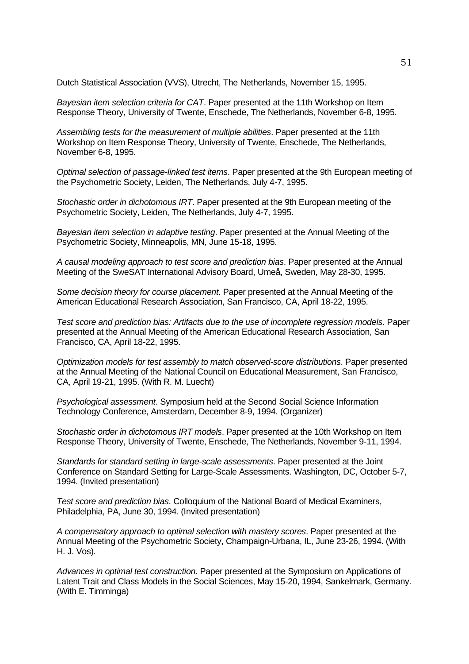Dutch Statistical Association (VVS), Utrecht, The Netherlands, November 15, 1995.

*Bayesian item selection criteria for CAT*. Paper presented at the 11th Workshop on Item Response Theory, University of Twente, Enschede, The Netherlands, November 6*-*8, 1995.

*Assembling tests for the measurement of multiple abilities*. Paper presented at the 11th Workshop on Item Response Theory, University of Twente, Enschede, The Netherlands, November 6*-*8, 1995.

*Optimal selection of passage-linked test items*. Paper presented at the 9th European meeting of the Psychometric Society, Leiden, The Netherlands, July 4*-*7, 1995.

*Stochastic order in dichotomous IRT*. Paper presented at the 9th European meeting of the Psychometric Society, Leiden, The Netherlands, July 4*-*7, 1995.

*Bayesian item selection in adaptive testing*. Paper presented at the Annual Meeting of the Psychometric Society, Minneapolis, MN, June 15*-*18, 1995.

*A causal modeling approach to test score and prediction bias*. Paper presented at the Annual Meeting of the SweSAT International Advisory Board, Umeå, Sweden, May 28*-*30, 1995.

*Some decision theory for course placement*. Paper presented at the Annual Meeting of the American Educational Research Association, San Francisco, CA, April 18*-*22, 1995.

*Test score and prediction bias: Artifacts due to the use of incomplete regression models*. Paper presented at the Annual Meeting of the American Educational Research Association, San Francisco, CA, April 18*-*22, 1995.

*Optimization models for test assembly to match observed-score distributions*. Paper presented at the Annual Meeting of the National Council on Educational Measurement, San Francisco, CA, April 19*-*21, 1995. (With R. M. Luecht)

*Psychological assessment*. Symposium held at the Second Social Science Information Technology Conference, Amsterdam, December 8*-*9, 1994. (Organizer)

*Stochastic order in dichotomous IRT models*. Paper presented at the 10th Workshop on Item Response Theory, University of Twente, Enschede, The Netherlands, November 9*-*11, 1994.

*Standards for standard setting in large-scale assessments*. Paper presented at the Joint Conference on Standard Setting for Large-Scale Assessments. Washington, DC, October 5*-*7, 1994. (Invited presentation)

*Test score and prediction bias*. Colloquium of the National Board of Medical Examiners, Philadelphia, PA, June 30, 1994. (Invited presentation)

*A compensatory approach to optimal selection with mastery scores*. Paper presented at the Annual Meeting of the Psychometric Society, Champaign-Urbana, IL, June 23*-*26, 1994. (With H. J. Vos).

*Advances in optimal test construction*. Paper presented at the Symposium on Applications of Latent Trait and Class Models in the Social Sciences, May 15*-*20, 1994, Sankelmark, Germany. (With E. Timminga)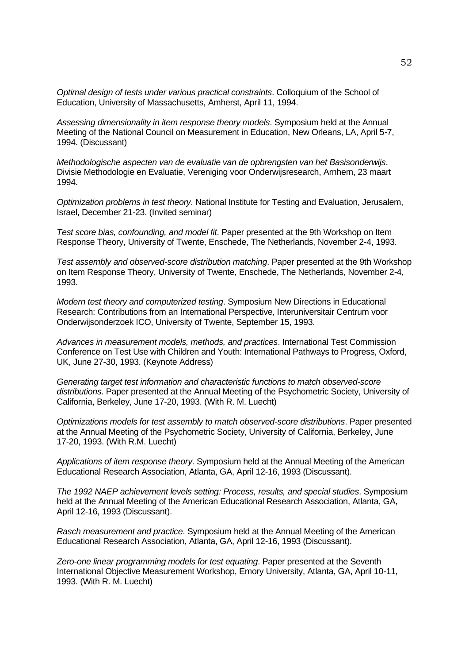*Optimal design of tests under various practical constraints*. Colloquium of the School of Education, University of Massachusetts, Amherst, April 11, 1994.

*Assessing dimensionality in item response theory models*. Symposium held at the Annual Meeting of the National Council on Measurement in Education, New Orleans, LA, April 5*-*7, 1994. (Discussant)

*Methodologische aspecten van de evaluatie van de opbrengsten van het Basisonderwijs*. Divisie Methodologie en Evaluatie, Vereniging voor Onderwijsresearch, Arnhem, 23 maart 1994.

*Optimization problems in test theory*. National Institute for Testing and Evaluation, Jerusalem, Israel, December 21*-*23. (Invited seminar)

*Test score bias, confounding, and model fit*. Paper presented at the 9th Workshop on Item Response Theory, University of Twente, Enschede, The Netherlands, November 2*-*4, 1993.

*Test assembly and observed-score distribution matching*. Paper presented at the 9th Workshop on Item Response Theory, University of Twente, Enschede, The Netherlands, November 2*-*4, 1993.

*Modern test theory and computerized testing*. Symposium New Directions in Educational Research: Contributions from an International Perspective, Interuniversitair Centrum voor Onderwijsonderzoek ICO, University of Twente, September 15, 1993.

*Advances in measurement models, methods, and practices*. International Test Commission Conference on Test Use with Children and Youth: International Pathways to Progress, Oxford, UK, June 27*-*30, 1993. (Keynote Address)

*Generating target test information and characteristic functions to match observed-score distributions*. Paper presented at the Annual Meeting of the Psychometric Society, University of California, Berkeley, June 17*-*20, 1993. (With R. M. Luecht)

*Optimizations models for test assembly to match observed-score distributions*. Paper presented at the Annual Meeting of the Psychometric Society, University of California, Berkeley, June 17*-*20, 1993. (With R.M. Luecht)

*Applications of item response theory*. Symposium held at the Annual Meeting of the American Educational Research Association, Atlanta, GA, April 12*-*16, 1993 (Discussant).

*The 1992 NAEP achievement levels setting: Process, results, and special studies*. Symposium held at the Annual Meeting of the American Educational Research Association, Atlanta, GA, April 12*-*16, 1993 (Discussant).

*Rasch measurement and practice*. Symposium held at the Annual Meeting of the American Educational Research Association, Atlanta, GA, April 12*-*16, 1993 (Discussant).

*Zero-one linear programming models for test equating*. Paper presented at the Seventh International Objective Measurement Workshop, Emory University, Atlanta, GA, April 10*-*11, 1993. (With R. M. Luecht)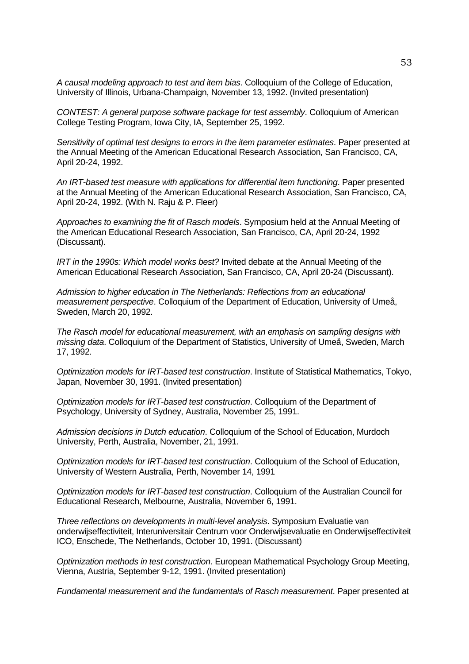*A causal modeling approach to test and item bias*. Colloquium of the College of Education, University of Illinois, Urbana-Champaign, November 13, 1992. (Invited presentation)

*CONTEST: A general purpose software package for test assembly*. Colloquium of American College Testing Program, Iowa City, IA, September 25, 1992.

*Sensitivity of optimal test designs to errors in the item parameter estimates*. Paper presented at the Annual Meeting of the American Educational Research Association, San Francisco, CA, April 20*-*24, 1992.

*An IRT-based test measure with applications for differential item functioning*. Paper presented at the Annual Meeting of the American Educational Research Association, San Francisco, CA, April 20*-*24, 1992. (With N. Raju & P. Fleer)

*Approaches to examining the fit of Rasch models*. Symposium held at the Annual Meeting of the American Educational Research Association, San Francisco, CA, April 20*-*24, 1992 (Discussant).

*IRT in the 1990s: Which model works best?* Invited debate at the Annual Meeting of the American Educational Research Association, San Francisco, CA, April 20*-*24 (Discussant).

*Admission to higher education in The Netherlands: Reflections from an educational measurement perspective*. Colloquium of the Department of Education, University of Umeå, Sweden, March 20, 1992.

*The Rasch model for educational measurement, with an emphasis on sampling designs with missing data*. Colloquium of the Department of Statistics, University of Umeå, Sweden, March 17, 1992.

*Optimization models for IRT-based test construction*. Institute of Statistical Mathematics, Tokyo, Japan, November 30, 1991. (Invited presentation)

*Optimization models for IRT-based test construction*. Colloquium of the Department of Psychology, University of Sydney, Australia, November 25, 1991.

*Admission decisions in Dutch education*. Colloquium of the School of Education, Murdoch University, Perth, Australia, November, 21, 1991.

*Optimization models for IRT-based test construction*. Colloquium of the School of Education, University of Western Australia, Perth, November 14, 1991

*Optimization models for IRT-based test construction*. Colloquium of the Australian Council for Educational Research, Melbourne, Australia, November 6, 1991.

*Three reflections on developments in multi-level analysis*. Symposium Evaluatie van onderwijseffectiviteit, Interuniversitair Centrum voor Onderwijsevaluatie en Onderwijseffectiviteit ICO, Enschede, The Netherlands, October 10, 1991. (Discussant)

*Optimization methods in test construction*. European Mathematical Psychology Group Meeting, Vienna, Austria, September 9*-*12, 1991. (Invited presentation)

*Fundamental measurement and the fundamentals of Rasch measurement*. Paper presented at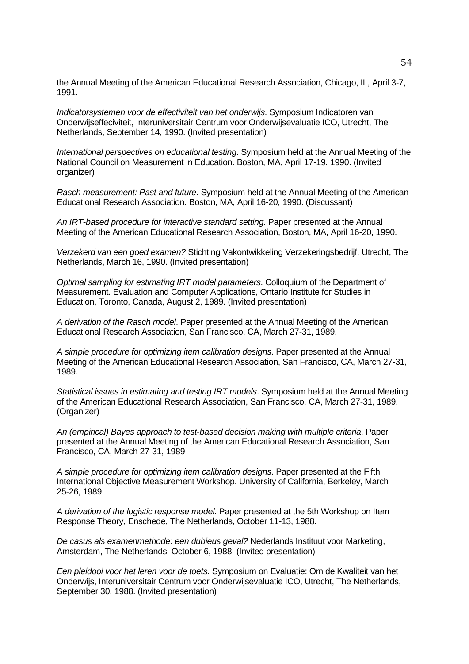the Annual Meeting of the American Educational Research Association, Chicago, IL, April 3*-*7, 1991.

*Indicatorsystemen voor de effectiviteit van het onderwijs*. Symposium Indicatoren van Onderwijseffeciviteit, Interuniversitair Centrum voor Onderwijsevaluatie ICO, Utrecht, The Netherlands, September 14, 1990. (Invited presentation)

*International perspectives on educational testing*. Symposium held at the Annual Meeting of the National Council on Measurement in Education. Boston, MA, April 17*-*19. 1990. (Invited organizer)

*Rasch measurement: Past and future*. Symposium held at the Annual Meeting of the American Educational Research Association. Boston, MA, April 16*-*20, 1990. (Discussant)

*An IRT-based procedure for interactive standard setting*. Paper presented at the Annual Meeting of the American Educational Research Association, Boston, MA, April 16*-*20, 1990.

*Verzekerd van een goed examen?* Stichting Vakontwikkeling Verzekeringsbedrijf, Utrecht, The Netherlands, March 16, 1990. (Invited presentation)

*Optimal sampling for estimating IRT model parameters*. Colloquium of the Department of Measurement. Evaluation and Computer Applications, Ontario Institute for Studies in Education, Toronto, Canada, August 2, 1989. (Invited presentation)

*A derivation of the Rasch model*. Paper presented at the Annual Meeting of the American Educational Research Association, San Francisco, CA, March 27*-*31, 1989.

*A simple procedure for optimizing item calibration designs*. Paper presented at the Annual Meeting of the American Educational Research Association, San Francisco, CA, March 27*-*31, 1989.

*Statistical issues in estimating and testing IRT models*. Symposium held at the Annual Meeting of the American Educational Research Association, San Francisco, CA, March 27*-*31, 1989. (Organizer)

*An (empirical) Bayes approach to test-based decision making with multiple criteria*. Paper presented at the Annual Meeting of the American Educational Research Association, San Francisco, CA, March 27*-*31, 1989

*A simple procedure for optimizing item calibration designs*. Paper presented at the Fifth International Objective Measurement Workshop. University of California, Berkeley, March 25*-*26, 1989

*A derivation of the logistic response model*. Paper presented at the 5th Workshop on Item Response Theory, Enschede, The Netherlands, October 11*-*13, 1988.

*De casus als examenmethode: een dubieus geval?* Nederlands Instituut voor Marketing, Amsterdam, The Netherlands, October 6, 1988. (Invited presentation)

*Een pleidooi voor het leren voor de toets*. Symposium on Evaluatie: Om de Kwaliteit van het Onderwijs, Interuniversitair Centrum voor Onderwijsevaluatie ICO, Utrecht, The Netherlands, September 30, 1988. (Invited presentation)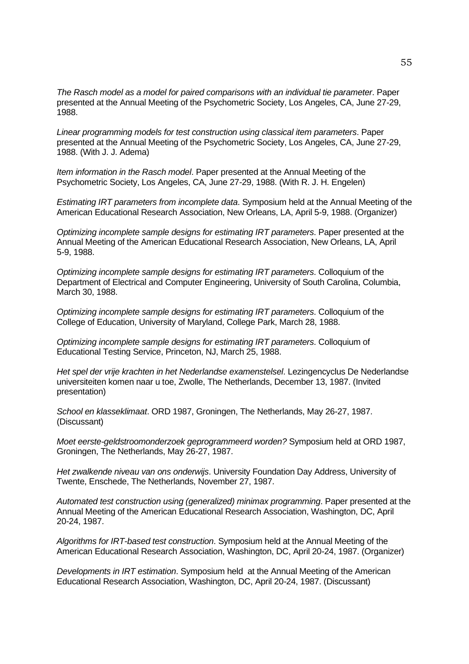*The Rasch model as a model for paired comparisons with an individual tie parameter*. Paper presented at the Annual Meeting of the Psychometric Society, Los Angeles, CA, June 27*-*29, 1988.

*Linear programming models for test construction using classical item parameters*. Paper presented at the Annual Meeting of the Psychometric Society, Los Angeles, CA, June 27*-*29, 1988. (With J. J. Adema)

*Item information in the Rasch model*. Paper presented at the Annual Meeting of the Psychometric Society, Los Angeles, CA, June 27*-*29, 1988. (With R. J. H. Engelen)

*Estimating IRT parameters from incomplete data*. Symposium held at the Annual Meeting of the American Educational Research Association, New Orleans, LA, April 5*-*9, 1988. (Organizer)

*Optimizing incomplete sample designs for estimating IRT parameters*. Paper presented at the Annual Meeting of the American Educational Research Association, New Orleans, LA, April 5*-*9, 1988.

*Optimizing incomplete sample designs for estimating IRT parameters*. Colloquium of the Department of Electrical and Computer Engineering, University of South Carolina, Columbia, March 30, 1988.

*Optimizing incomplete sample designs for estimating IRT parameters*. Colloquium of the College of Education, University of Maryland, College Park, March 28, 1988.

*Optimizing incomplete sample designs for estimating IRT parameters*. Colloquium of Educational Testing Service, Princeton, NJ, March 25, 1988.

*Het spel der vrije krachten in het Nederlandse examenstelsel*. Lezingencyclus De Nederlandse universiteiten komen naar u toe, Zwolle, The Netherlands, December 13, 1987. (Invited presentation)

*School en klasseklimaat*. ORD 1987, Groningen, The Netherlands, May 26*-*27, 1987. (Discussant)

*Moet eerste-geldstroomonderzoek geprogrammeerd worden?* Symposium held at ORD 1987, Groningen, The Netherlands, May 26*-*27, 1987.

*Het zwalkende niveau van ons onderwijs*. University Foundation Day Address, University of Twente, Enschede, The Netherlands, November 27, 1987.

*Automated test construction using (generalized) minimax programming*. Paper presented at the Annual Meeting of the American Educational Research Association, Washington, DC, April 20*-*24, 1987.

*Algorithms for IRT-based test construction*. Symposium held at the Annual Meeting of the American Educational Research Association, Washington, DC, April 20*-*24, 1987. (Organizer)

*Developments in IRT estimation*. Symposium held at the Annual Meeting of the American Educational Research Association, Washington, DC, April 20*-*24, 1987. (Discussant)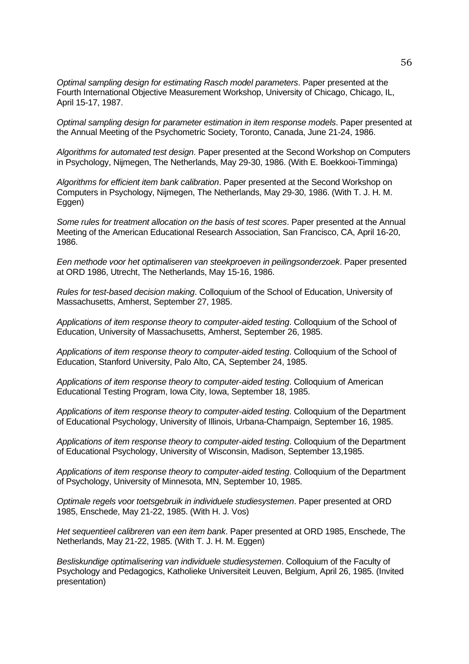*Optimal sampling design for estimating Rasch model parameters*. Paper presented at the Fourth International Objective Measurement Workshop, University of Chicago, Chicago, IL, April 15*-*17, 1987.

*Optimal sampling design for parameter estimation in item response models*. Paper presented at the Annual Meeting of the Psychometric Society, Toronto, Canada, June 21*-*24, 1986.

*Algorithms for automated test design*. Paper presented at the Second Workshop on Computers in Psychology, Nijmegen, The Netherlands, May 29*-*30, 1986. (With E. Boekkooi-Timminga)

*Algorithms for efficient item bank calibration*. Paper presented at the Second Workshop on Computers in Psychology, Nijmegen, The Netherlands, May 29*-*30, 1986. (With T. J. H. M. Eggen)

*Some rules for treatment allocation on the basis of test scores*. Paper presented at the Annual Meeting of the American Educational Research Association, San Francisco, CA, April 16*-*20, 1986.

*Een methode voor het optimaliseren van steekproeven in peilingsonderzoek*. Paper presented at ORD 1986, Utrecht, The Netherlands, May 15*-*16, 1986.

*Rules for test-based decision making*. Colloquium of the School of Education, University of Massachusetts, Amherst, September 27, 1985.

*Applications of item response theory to computer-aided testing*. Colloquium of the School of Education, University of Massachusetts, Amherst, September 26, 1985.

*Applications of item response theory to computer-aided testing*. Colloquium of the School of Education, Stanford University, Palo Alto, CA, September 24, 1985.

*Applications of item response theory to computer-aided testing*. Colloquium of American Educational Testing Program, Iowa City, Iowa, September 18, 1985.

*Applications of item response theory to computer-aided testing*. Colloquium of the Department of Educational Psychology, University of Illinois, Urbana-Champaign, September 16, 1985.

*Applications of item response theory to computer-aided testing*. Colloquium of the Department of Educational Psychology, University of Wisconsin, Madison, September 13,1985.

*Applications of item response theory to computer-aided testing*. Colloquium of the Department of Psychology, University of Minnesota, MN, September 10, 1985.

*Optimale regels voor toetsgebruik in individuele studiesystemen*. Paper presented at ORD 1985, Enschede, May 21*-*22, 1985. (With H. J. Vos)

*Het sequentieel calibreren van een item bank*. Paper presented at ORD 1985, Enschede, The Netherlands, May 21*-*22, 1985. (With T. J. H. M. Eggen)

*Besliskundige optimalisering van individuele studiesystemen*. Colloquium of the Faculty of Psychology and Pedagogics, Katholieke Universiteit Leuven, Belgium, April 26, 1985. (Invited presentation)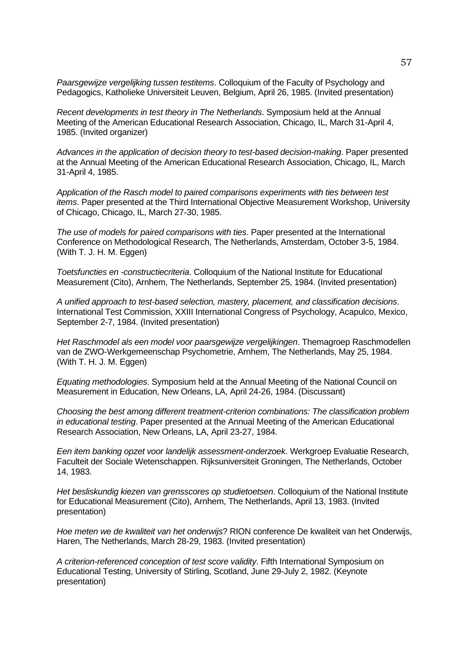*Paarsgewijze vergelijking tussen testitems*. Colloquium of the Faculty of Psychology and Pedagogics, Katholieke Universiteit Leuven, Belgium, April 26, 1985. (Invited presentation)

*Recent developments in test theory in The Netherlands*. Symposium held at the Annual Meeting of the American Educational Research Association, Chicago, IL, March 31*-*April 4, 1985. (Invited organizer)

*Advances in the application of decision theory to test-based decision-making*. Paper presented at the Annual Meeting of the American Educational Research Association, Chicago, IL, March 31*-*April 4, 1985.

*Application of the Rasch model to paired comparisons experiments with ties between test items*. Paper presented at the Third International Objective Measurement Workshop, University of Chicago, Chicago, IL, March 27*-*30, 1985.

*The use of models for paired comparisons with ties*. Paper presented at the International Conference on Methodological Research, The Netherlands, Amsterdam, October 3*-*5, 1984. (With T. J. H. M. Eggen)

*Toetsfuncties en -constructiecriteria*. Colloquium of the National Institute for Educational Measurement (Cito), Arnhem, The Netherlands, September 25, 1984. (Invited presentation)

*A unified approach to test-based selection, mastery, placement, and classification decisions*. International Test Commission, XXIII International Congress of Psychology, Acapulco, Mexico, September 2*-*7, 1984. (Invited presentation)

*Het Raschmodel als een model voor paarsgewijze vergelijkingen*. Themagroep Raschmodellen van de ZWO-Werkgemeenschap Psychometrie, Arnhem, The Netherlands, May 25, 1984. (With T. H. J. M. Eggen)

*Equating methodologies*. Symposium held at the Annual Meeting of the National Council on Measurement in Education, New Orleans, LA, April 24*-*26, 1984. (Discussant)

*Choosing the best among different treatment-criterion combinations: The classification problem in educational testing*. Paper presented at the Annual Meeting of the American Educational Research Association, New Orleans, LA, April 23*-*27, 1984.

*Een item banking opzet voor landelijk assessment-onderzoek*. Werkgroep Evaluatie Research, Faculteit der Sociale Wetenschappen. Rijksuniversiteit Groningen, The Netherlands, October 14, 1983.

*Het besliskundig kiezen van grensscores op studietoetsen*. Colloquium of the National Institute for Educational Measurement (Cito), Arnhem, The Netherlands, April 13, 1983. (Invited presentation)

*Hoe meten we de kwaliteit van het onderwijs*? RION conference De kwaliteit van het Onderwijs, Haren, The Netherlands, March 28*-*29, 1983. (Invited presentation)

*A criterion-referenced conception of test score validity*. Fifth International Symposium on Educational Testing, University of Stirling, Scotland, June 29*-*July 2, 1982. (Keynote presentation)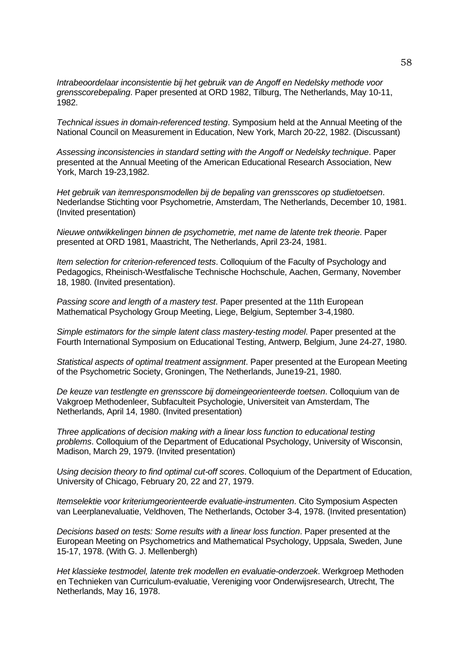*Intrabeoordelaar inconsistentie bij het gebruik van de Angoff en Nedelsky methode voor grensscorebepaling*. Paper presented at ORD 1982, Tilburg, The Netherlands, May 10*-*11, 1982.

*Technical issues in domain-referenced testing*. Symposium held at the Annual Meeting of the National Council on Measurement in Education, New York, March 20*-*22, 1982. (Discussant)

*Assessing inconsistencies in standard setting with the Angoff or Nedelsky technique*. Paper presented at the Annual Meeting of the American Educational Research Association, New York, March 19*-*23,1982.

*Het gebruik van itemresponsmodellen bij de bepaling van grensscores op studietoetsen*. Nederlandse Stichting voor Psychometrie, Amsterdam, The Netherlands, December 10, 1981. (Invited presentation)

*Nieuwe ontwikkelingen binnen de psychometrie, met name de latente trek theorie*. Paper presented at ORD 1981, Maastricht, The Netherlands, April 23*-*24, 1981.

*Item selection for criterion-referenced tests*. Colloquium of the Faculty of Psychology and Pedagogics, Rheinisch-Westfalische Technische Hochschule, Aachen, Germany, November 18, 1980. (Invited presentation).

*Passing score and length of a mastery test*. Paper presented at the 11th European Mathematical Psychology Group Meeting, Liege, Belgium, September 3*-*4,1980.

*Simple estimators for the simple latent class mastery-testing model*. Paper presented at the Fourth International Symposium on Educational Testing, Antwerp, Belgium, June 24*-*27, 1980.

*Statistical aspects of optimal treatment assignment*. Paper presented at the European Meeting of the Psychometric Society, Groningen, The Netherlands, June19*-*21, 1980.

*De keuze van testlengte en grensscore bij domeingeorienteerde toetsen*. Colloquium van de Vakgroep Methodenleer, Subfaculteit Psychologie, Universiteit van Amsterdam, The Netherlands, April 14, 1980. (Invited presentation)

*Three applications of decision making with a linear loss function to educational testing problems*. Colloquium of the Department of Educational Psychology, University of Wisconsin, Madison, March 29, 1979. (Invited presentation)

*Using decision theory to find optimal cut-off scores*. Colloquium of the Department of Education, University of Chicago, February 20, 22 and 27, 1979.

*Itemselektie voor kriteriumgeorienteerde evaluatie-instrumenten*. Cito Symposium Aspecten van Leerplanevaluatie, Veldhoven, The Netherlands, October 3*-*4, 1978. (Invited presentation)

*Decisions based on tests: Some results with a linear loss function*. Paper presented at the European Meeting on Psychometrics and Mathematical Psychology, Uppsala, Sweden, June 15*-*17, 1978. (With G. J. Mellenbergh)

*Het klassieke testmodel, latente trek modellen en evaluatie-onderzoek*. Werkgroep Methoden en Technieken van Curriculum-evaluatie, Vereniging voor Onderwijsresearch, Utrecht, The Netherlands, May 16, 1978.